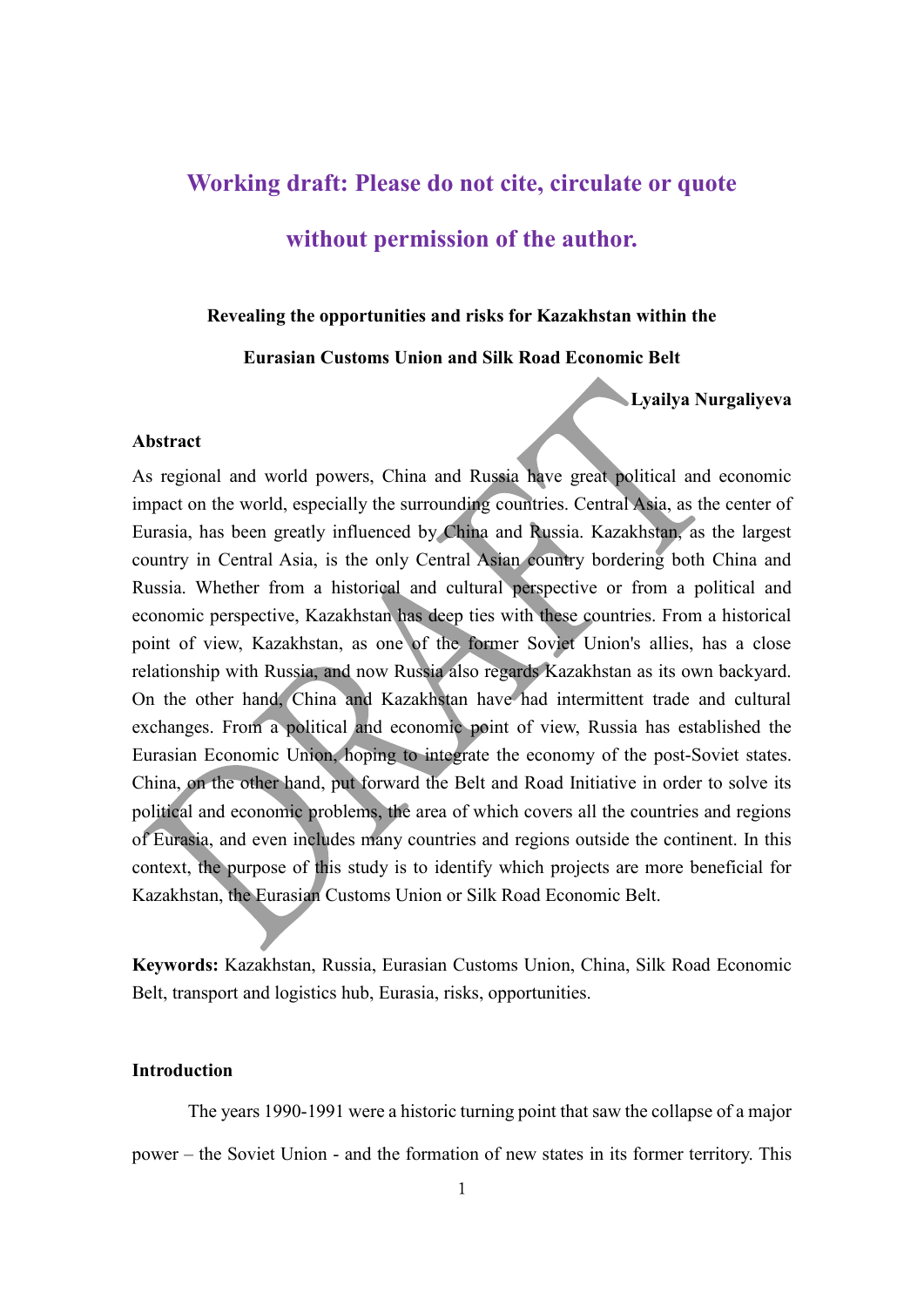# **[Working draft: Please do not cite, circulate or quote](https://papers.ssrn.com/sol3/Delivery.cfm?abstractid=803026)**

### **without [permission of the author.](https://papers.ssrn.com/sol3/Delivery.cfm?abstractid=803026)**

#### **Revealing the opportunities and risks for Kazakhstan within the**

#### **Eurasian Customs Union and Silk Road Economic Belt**

**Lyailya Nurgaliyeva**

#### **Abstract**

As regional and world powers, China and Russia have great political and economic impact on the world, especially the surrounding countries. Central Asia, as the center of Eurasia, has been greatly influenced by China and Russia. Kazakhstan, as the largest country in Central Asia, is the only Central Asian country bordering both China and Russia. Whether from a historical and cultural perspective or from a political and economic perspective, Kazakhstan has deep ties with these countries. From a historical point of view, Kazakhstan, as one of the former Soviet Union's allies, has a close relationship with Russia, and now Russia also regards Kazakhstan as its own backyard. On the other hand, China and Kazakhstan have had intermittent trade and cultural exchanges. From a political and economic point of view, Russia has established the Eurasian Economic Union, hoping to integrate the economy of the post-Soviet states. China, on the other hand, put forward the Belt and Road Initiative in order to solve its political and economic problems, the area of which covers all the countries and regions of Eurasia, and even includes many countries and regions outside the continent. In this context, the purpose of this study is to identify which projects are more beneficial for Kazakhstan, the Eurasian Customs Union or Silk Road Economic Belt.

**Keywords:** Kazakhstan, Russia, Eurasian Customs Union, China, Silk Road Economic Belt, transport and logistics hub, Eurasia, risks, opportunities.

#### **Introduction**

The years 1990-1991 were a historic turning point that saw the collapse of a major power – the Soviet Union - and the formation of new states in its former territory. This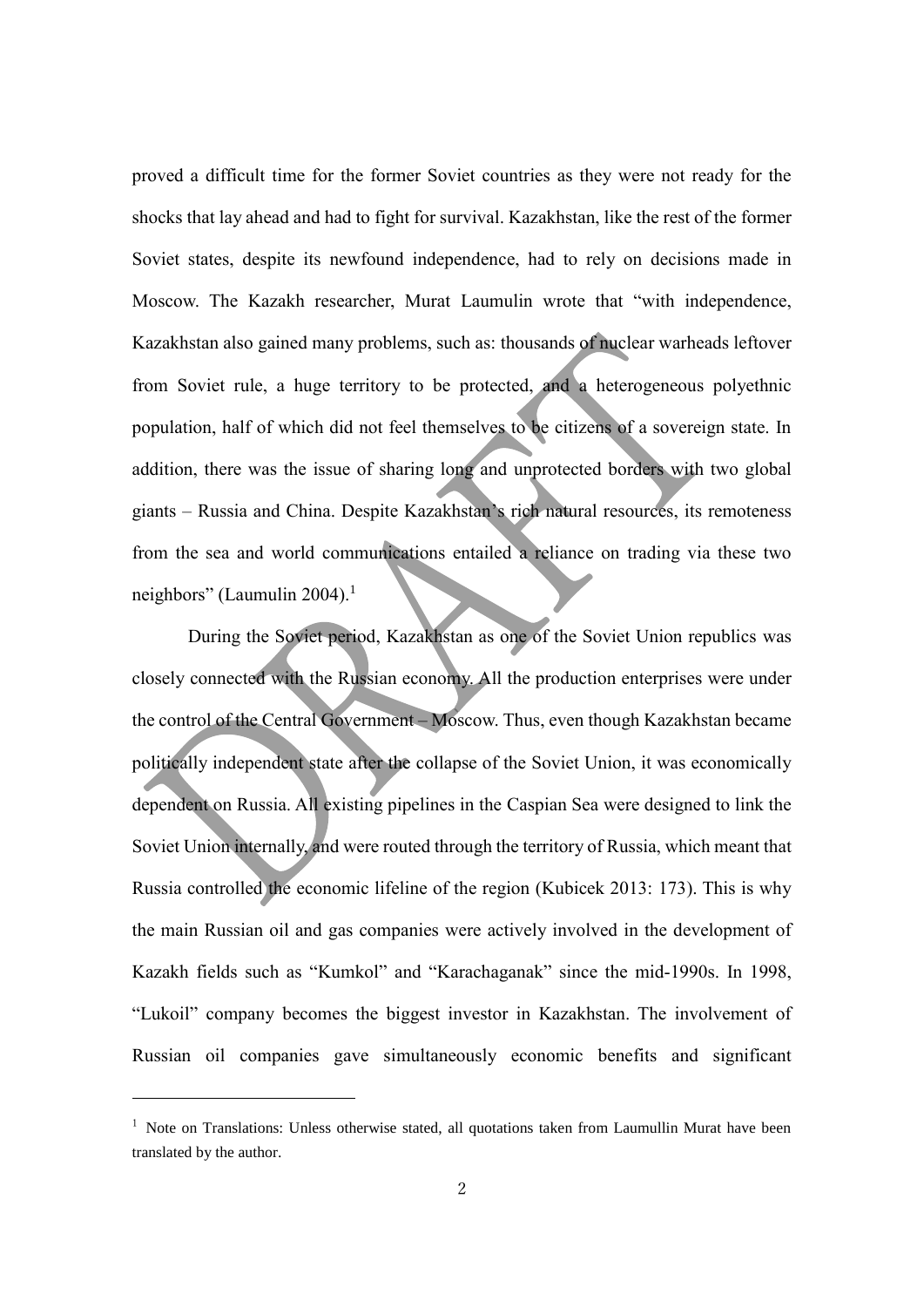proved a difficult time for the former Soviet countries as they were not ready for the shocks that lay ahead and had to fight for survival. Kazakhstan, like the rest of the former Soviet states, despite its newfound independence, had to rely on decisions made in Moscow. The Kazakh researcher, Murat Laumulin wrote that "with independence, Kazakhstan also gained many problems, such as: thousands of nuclear warheads leftover from Soviet rule, a huge territory to be protected, and a heterogeneous polyethnic population, half of which did not feel themselves to be citizens of a sovereign state. In addition, there was the issue of sharing long and unprotected borders with two global giants – Russia and China. Despite Kazakhstan's rich natural resources, its remoteness from the sea and world communications entailed a reliance on trading via these two neighbors" (Laumulin 2004).<sup>1</sup>

During the Soviet period, Kazakhstan as one of the Soviet Union republics was closely connected with the Russian economy. All the production enterprises were under the control of the Central Government – Moscow. Thus, even though Kazakhstan became politically independent state after the collapse of the Soviet Union, it was economically dependent on Russia. All existing pipelines in the Caspian Sea were designed to link the Soviet Union internally, and were routed through the territory of Russia, which meant that Russia controlled the economic lifeline of the region (Kubicek 2013: 173). This is why the main Russian oil and gas companies were actively involved in the development of Kazakh fields such as "Kumkol" and "Karachaganak" since the mid-1990s. In 1998, "Lukoil" company becomes the biggest investor in Kazakhstan. The involvement of Russian oil companies gave simultaneously economic benefits and significant

-

 $1$  Note on Translations: Unless otherwise stated, all quotations taken from Laumullin Murat have been translated by the author.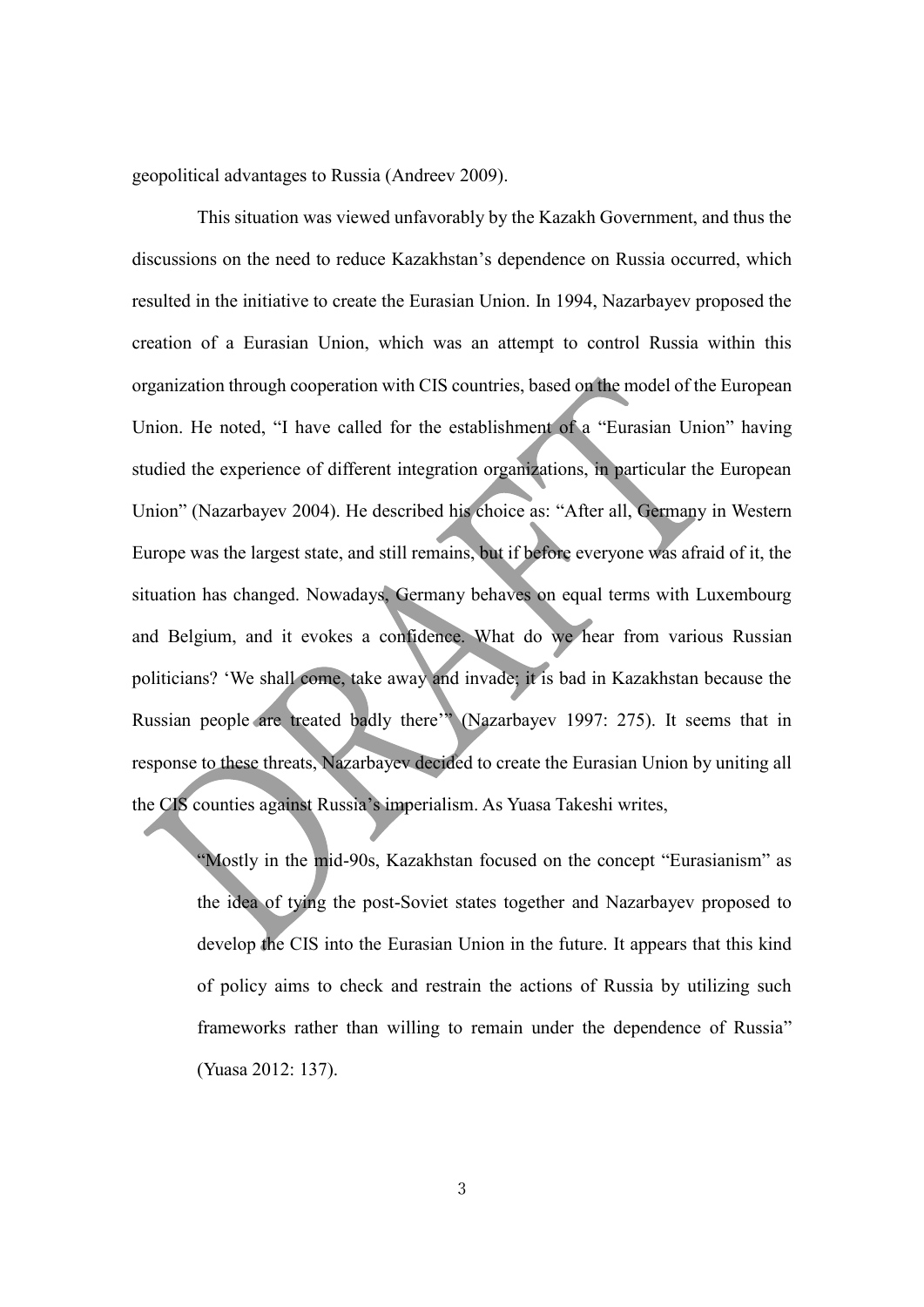geopolitical advantages to Russia (Andreev 2009).

This situation was viewed unfavorably by the Kazakh Government, and thus the discussions on the need to reduce Kazakhstan's dependence on Russia occurred, which resulted in the initiative to create the Eurasian Union. In 1994, Nazarbayev proposed the creation of a Eurasian Union, which was an attempt to control Russia within this organization through cooperation with CIS countries, based on the model of the European Union. He noted, "I have called for the establishment of a "Eurasian Union" having studied the experience of different integration organizations, in particular the European Union" (Nazarbayev 2004). He described his choice as: "After all, Germany in Western Europe was the largest state, and still remains, but if before everyone was afraid of it, the situation has changed. Nowadays, Germany behaves on equal terms with Luxembourg and Belgium, and it evokes a confidence. What do we hear from various Russian politicians? 'We shall come, take away and invade; it is bad in Kazakhstan because the Russian people are treated badly there'" (Nazarbayev 1997: 275). It seems that in response to these threats, Nazarbayev decided to create the Eurasian Union by uniting all the CIS counties against Russia's imperialism. As Yuasa Takeshi writes,

"Mostly in the mid-90s, Kazakhstan focused on the concept "Eurasianism" as the idea of tying the post-Soviet states together and Nazarbayev proposed to develop the CIS into the Eurasian Union in the future. It appears that this kind of policy aims to check and restrain the actions of Russia by utilizing such frameworks rather than willing to remain under the dependence of Russia" (Yuasa 2012: 137).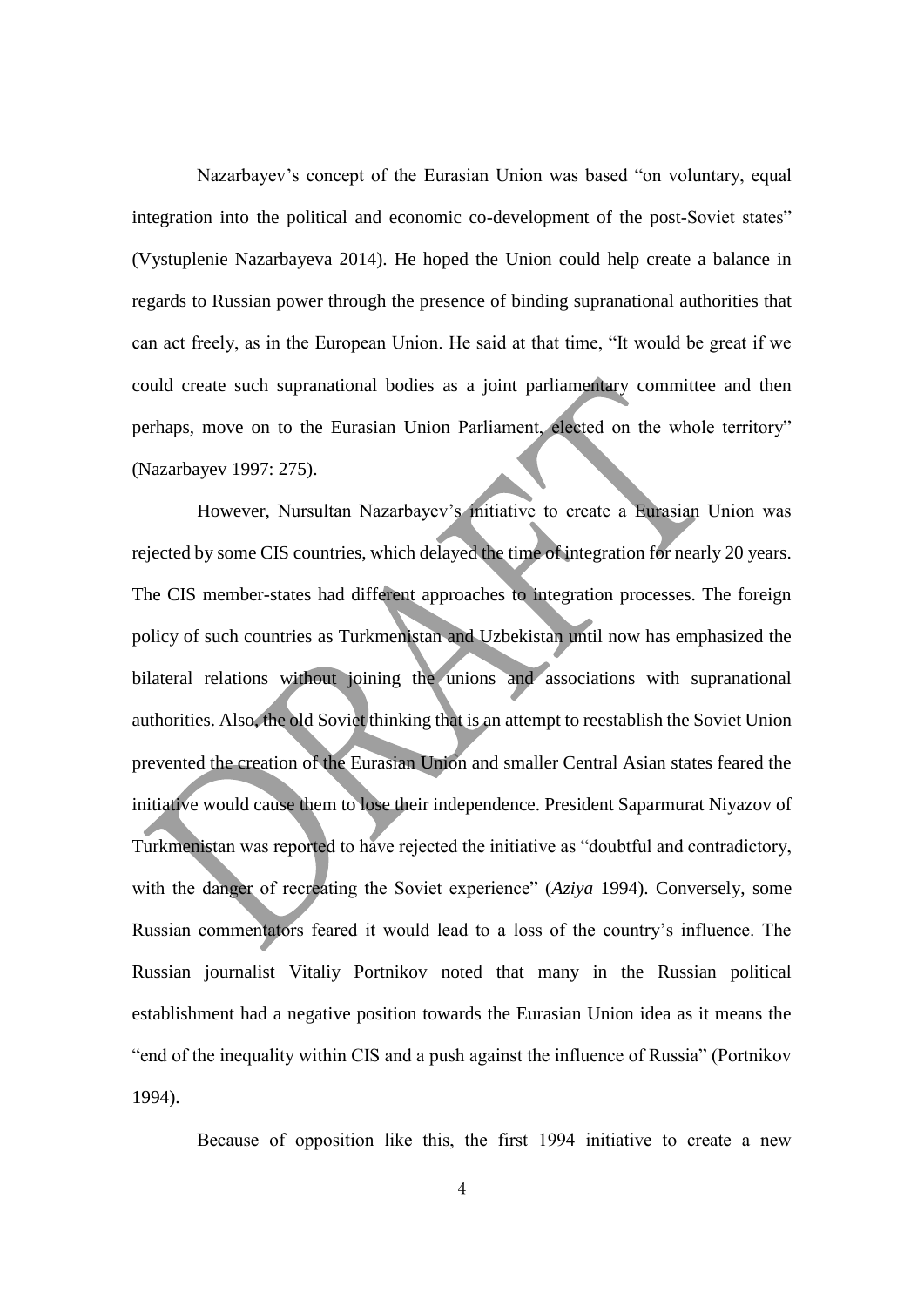Nazarbayev's concept of the Eurasian Union was based "on voluntary, equal integration into the political and economic co-development of the post-Soviet states" (Vystuplenie Nazarbayeva 2014). He hoped the Union could help create a balance in regards to Russian power through the presence of binding supranational authorities that can act freely, as in the European Union. He said at that time, "It would be great if we could create such supranational bodies as a joint parliamentary committee and then perhaps, move on to the Eurasian Union Parliament, elected on the whole territory" (Nazarbayev 1997: 275).

However, Nursultan Nazarbayev's initiative to create a Eurasian Union was rejected by some CIS countries, which delayed the time of integration for nearly 20 years. The CIS member-states had different approaches to integration processes. The foreign policy of such countries as Turkmenistan and Uzbekistan until now has emphasized the bilateral relations without joining the unions and associations with supranational authorities. Also, the old Soviet thinking that is an attempt to reestablish the Soviet Union prevented the creation of the Eurasian Union and smaller Central Asian states feared the initiative would cause them to lose their independence. President Saparmurat Niyazov of Turkmenistan was reported to have rejected the initiative as "doubtful and contradictory, with the danger of recreating the Soviet experience" (*Aziya* 1994). Conversely, some Russian commentators feared it would lead to a loss of the country's influence. The Russian journalist Vitaliy Portnikov noted that many in the Russian political establishment had a negative position towards the Eurasian Union idea as it means the "end of the inequality within CIS and a push against the influence of Russia" (Portnikov 1994).

Because of opposition like this, the first 1994 initiative to create a new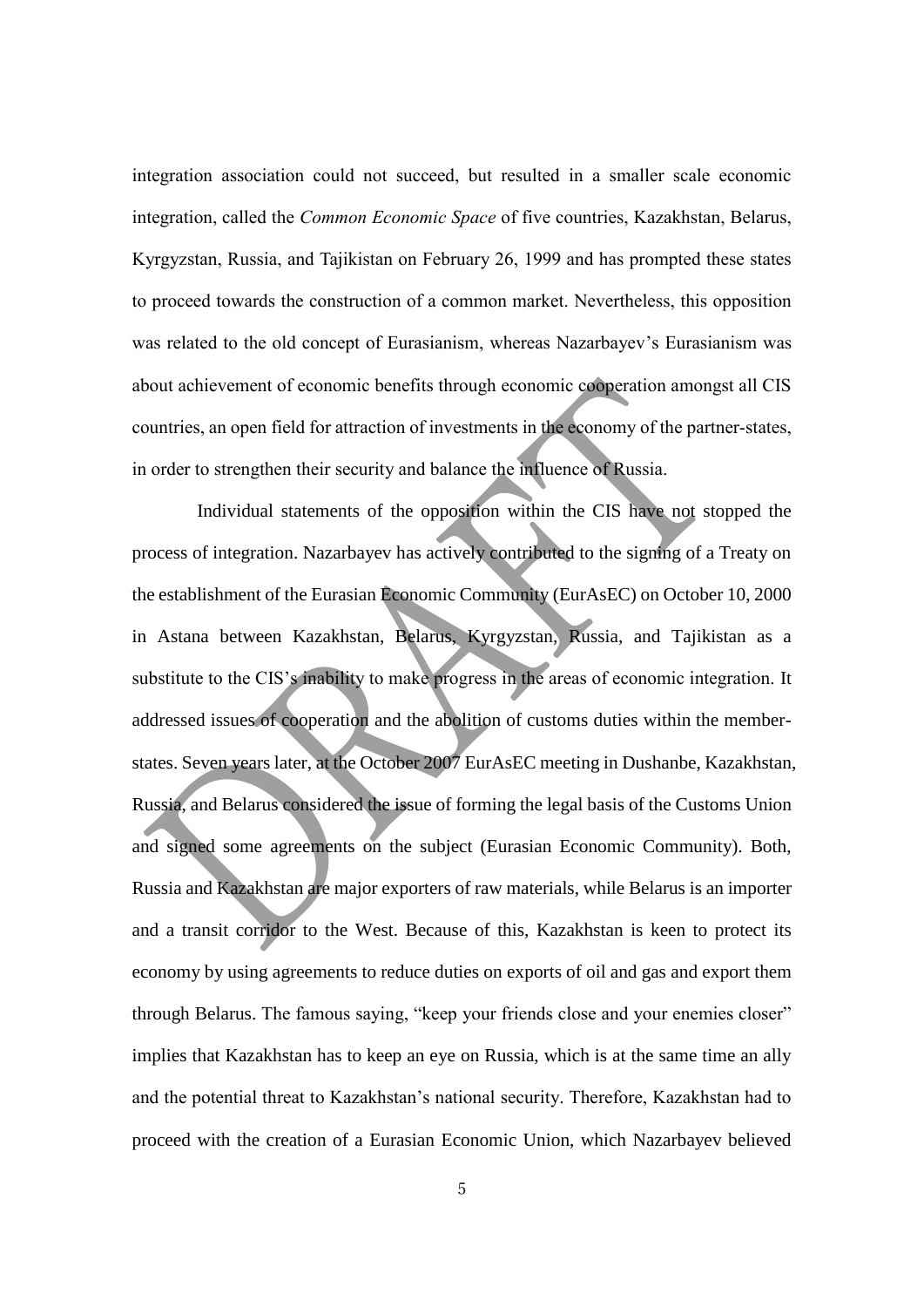integration association could not succeed, but resulted in a smaller scale economic integration, called the *Common Economic Space* of five countries, Kazakhstan, Belarus, Kyrgyzstan, Russia, and Tajikistan on February 26, 1999 and has prompted these states to proceed towards the construction of a common market. Nevertheless, this opposition was related to the old concept of Eurasianism, whereas Nazarbayev's Eurasianism was about achievement of economic benefits through economic cooperation amongst all CIS countries, an open field for attraction of investments in the economy of the partner-states, in order to strengthen their security and balance the influence of Russia.

Individual statements of the opposition within the CIS have not stopped the process of integration. Nazarbayev has actively contributed to the signing of a Treaty on the establishment of the Eurasian Economic Community (EurAsEC) on October 10, 2000 in Astana between Kazakhstan, Belarus, Kyrgyzstan, Russia, and Tajikistan as a substitute to the CIS's inability to make progress in the areas of economic integration. It addressed issues of cooperation and the abolition of customs duties within the memberstates. Seven years later, at the October 2007 EurAsEC meeting in Dushanbe, Kazakhstan, Russia, and Belarus considered the issue of forming the legal basis of the Customs Union and signed some agreements on the subject (Eurasian Economic Community). Both, Russia and Kazakhstan are major exporters of raw materials, while Belarus is an importer and a transit corridor to the West. Because of this, Kazakhstan is keen to protect its economy by using agreements to reduce duties on exports of oil and gas and export them through Belarus. The famous saying, "keep your friends close and your enemies closer" implies that Kazakhstan has to keep an eye on Russia, which is at the same time an ally and the potential threat to Kazakhstan's national security. Therefore, Kazakhstan had to proceed with the creation of a Eurasian Economic Union, which Nazarbayev believed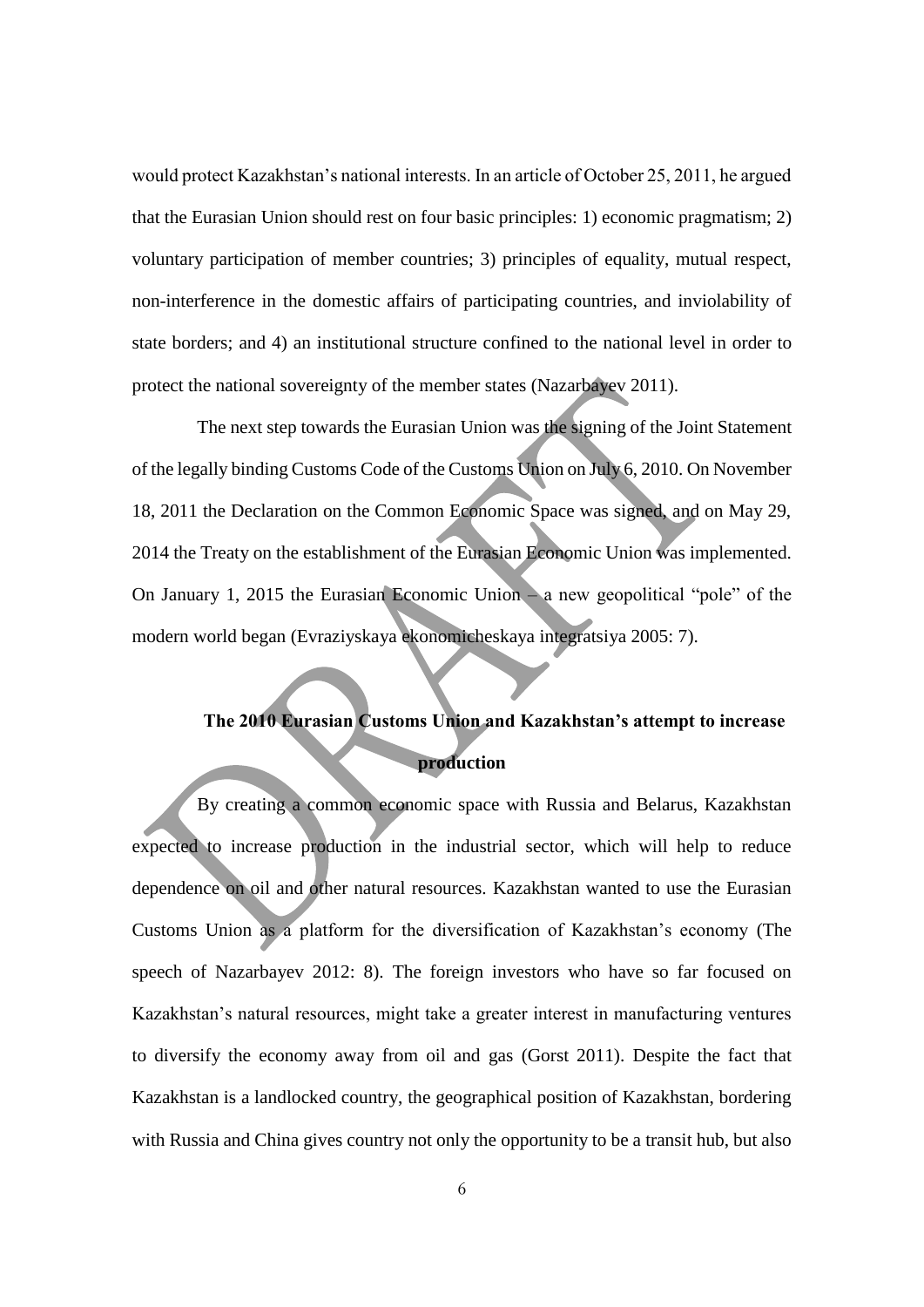would protect Kazakhstan's national interests. In an article of October 25, 2011, he argued that the Eurasian Union should rest on four basic principles: 1) economic pragmatism; 2) voluntary participation of member countries; 3) principles of equality, mutual respect, non-interference in the domestic affairs of participating countries, and inviolability of state borders; and 4) an institutional structure confined to the national level in order to protect the national sovereignty of the member states (Nazarbayev 2011).

The next step towards the Eurasian Union was the signing of the Joint Statement of the legally binding Customs Code of the Customs Union on July 6, 2010. On November 18, 2011 the Declaration on the Common Economic Space was signed, and on May 29, 2014 the Treaty on the establishment of the Eurasian Economic Union was implemented. On January 1, 2015 the Eurasian Economic Union – a new geopolitical "pole" of the modern world began (Evraziyskaya ekonomicheskaya integratsiya 2005: 7).

# **The 2010 Eurasian Customs Union and Kazakhstan's attempt to increase production**

By creating a common economic space with Russia and Belarus, Kazakhstan expected to increase production in the industrial sector, which will help to reduce dependence on oil and other natural resources. Kazakhstan wanted to use the Eurasian Customs Union as a platform for the diversification of Kazakhstan's economy (The speech of Nazarbayev 2012: 8). The foreign investors who have so far focused on Kazakhstan's natural resources, might take a greater interest in manufacturing ventures to diversify the economy away from oil and gas (Gorst 2011). Despite the fact that Kazakhstan is a landlocked country, the geographical position of Kazakhstan, bordering with Russia and China gives country not only the opportunity to be a transit hub, but also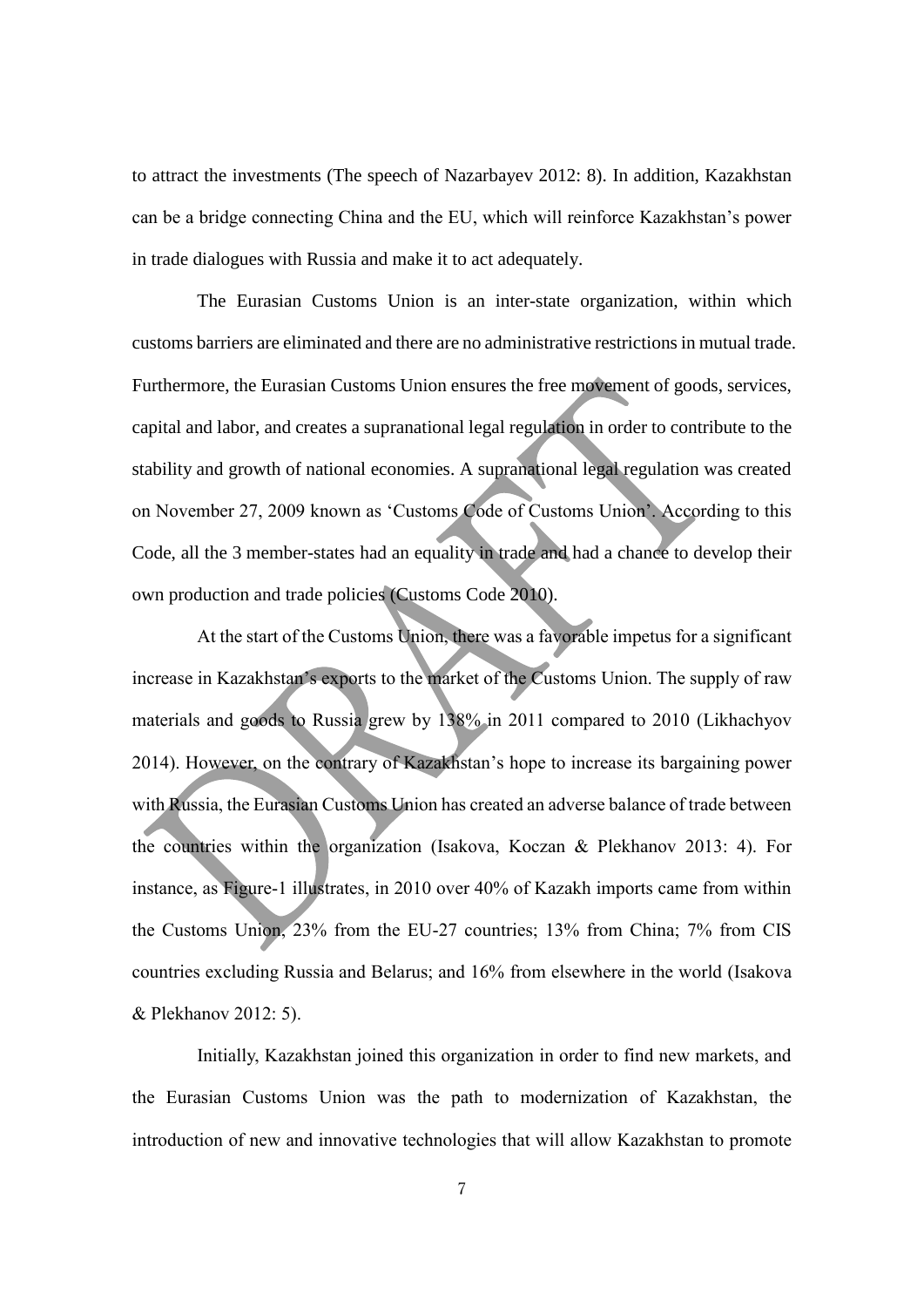to attract the investments (The speech of Nazarbayev 2012: 8). In addition, Kazakhstan can be a bridge connecting China and the EU, which will reinforce Kazakhstan's power in trade dialogues with Russia and make it to act adequately.

The Eurasian Customs Union is an inter-state organization, within which customs barriers are eliminated and there are no administrative restrictions in mutual trade. Furthermore, the Eurasian Customs Union ensures the free movement of goods, services, capital and labor, and creates a supranational legal regulation in order to contribute to the stability and growth of national economies. A supranational legal regulation was created on November 27, 2009 known as 'Customs Code of Customs Union'. According to this Code, all the 3 member-states had an equality in trade and had a chance to develop their own production and trade policies (Customs Code 2010).

At the start of the Customs Union, there was a favorable impetus for a significant increase in Kazakhstan's exports to the market of the Customs Union. The supply of raw materials and goods to Russia grew by 138% in 2011 compared to 2010 (Likhachyov 2014). However, on the contrary of Kazakhstan's hope to increase its bargaining power with Russia, the Eurasian Customs Union has created an adverse balance of trade between the countries within the organization (Isakova, Koczan & Plekhanov 2013: 4). For instance, as Figure-1 illustrates, in 2010 over 40% of Kazakh imports came from within the Customs Union, 23% from the EU-27 countries; 13% from China; 7% from CIS countries excluding Russia and Belarus; and 16% from elsewhere in the world (Isakova & Plekhanov 2012: 5).

Initially, Kazakhstan joined this organization in order to find new markets, and the Eurasian Customs Union was the path to modernization of Kazakhstan, the introduction of new and innovative technologies that will allow Kazakhstan to promote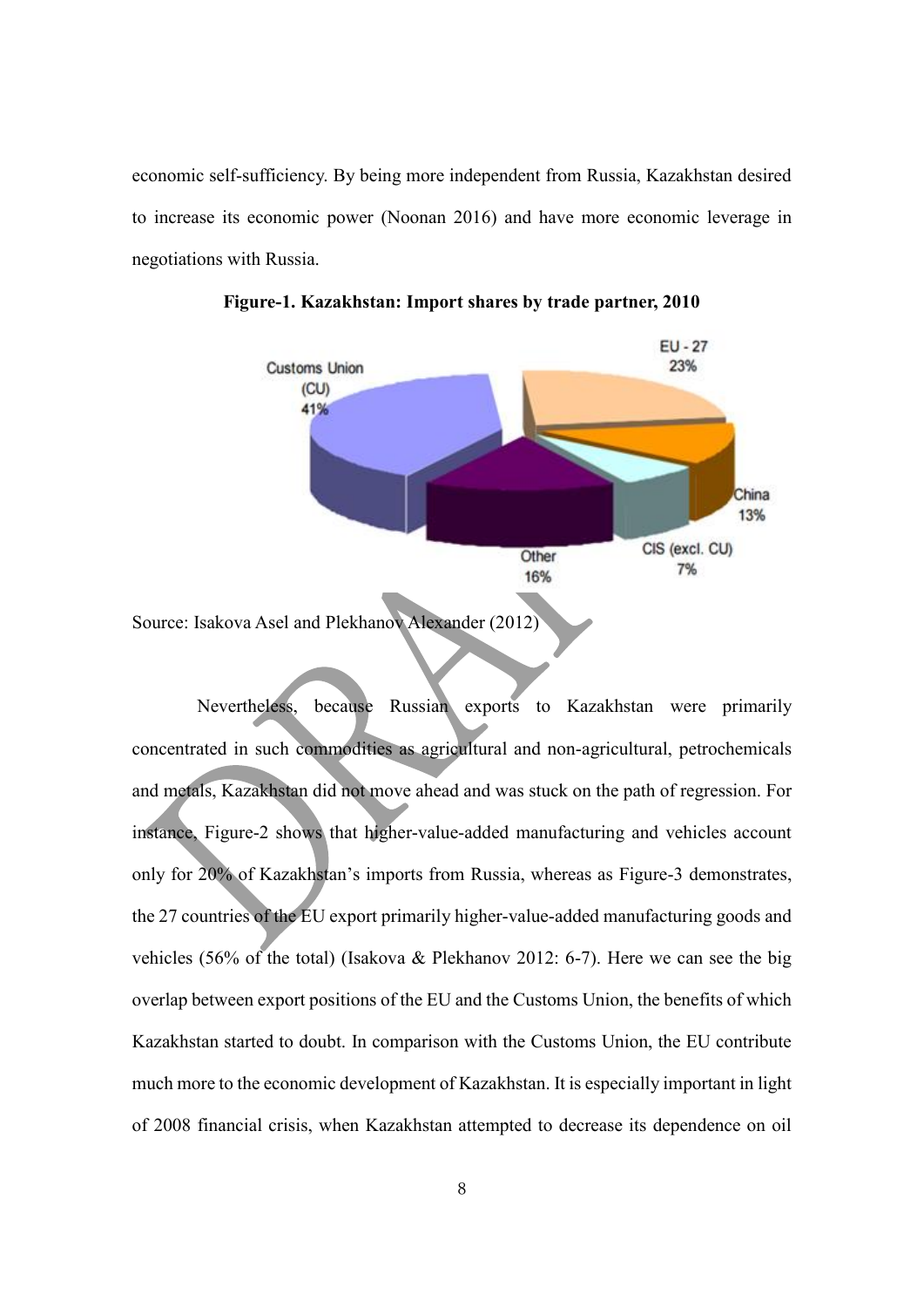economic self-sufficiency. By being more independent from Russia, Kazakhstan desired to increase its economic power (Noonan 2016) and have more economic leverage in negotiations with Russia.



**Figure-1. Kazakhstan: Import shares by trade partner, 2010**

Nevertheless, because Russian exports to Kazakhstan were primarily concentrated in such commodities as agricultural and non-agricultural, petrochemicals and metals, Kazakhstan did not move ahead and was stuck on the path of regression. For instance, Figure-2 shows that higher-value-added manufacturing and vehicles account only for 20% of Kazakhstan's imports from Russia, whereas as Figure-3 demonstrates, the 27 countries of the EU export primarily higher-value-added manufacturing goods and vehicles (56% of the total) (Isakova & Plekhanov 2012: 6-7). Here we can see the big overlap between export positions of the EU and the Customs Union, the benefits of which Kazakhstan started to doubt. In comparison with the Customs Union, the EU contribute much more to the economic development of Kazakhstan. It is especially important in light of 2008 financial crisis, when Kazakhstan attempted to decrease its dependence on oil

Source: Isakova Asel and Plekhanov Alexander (2012)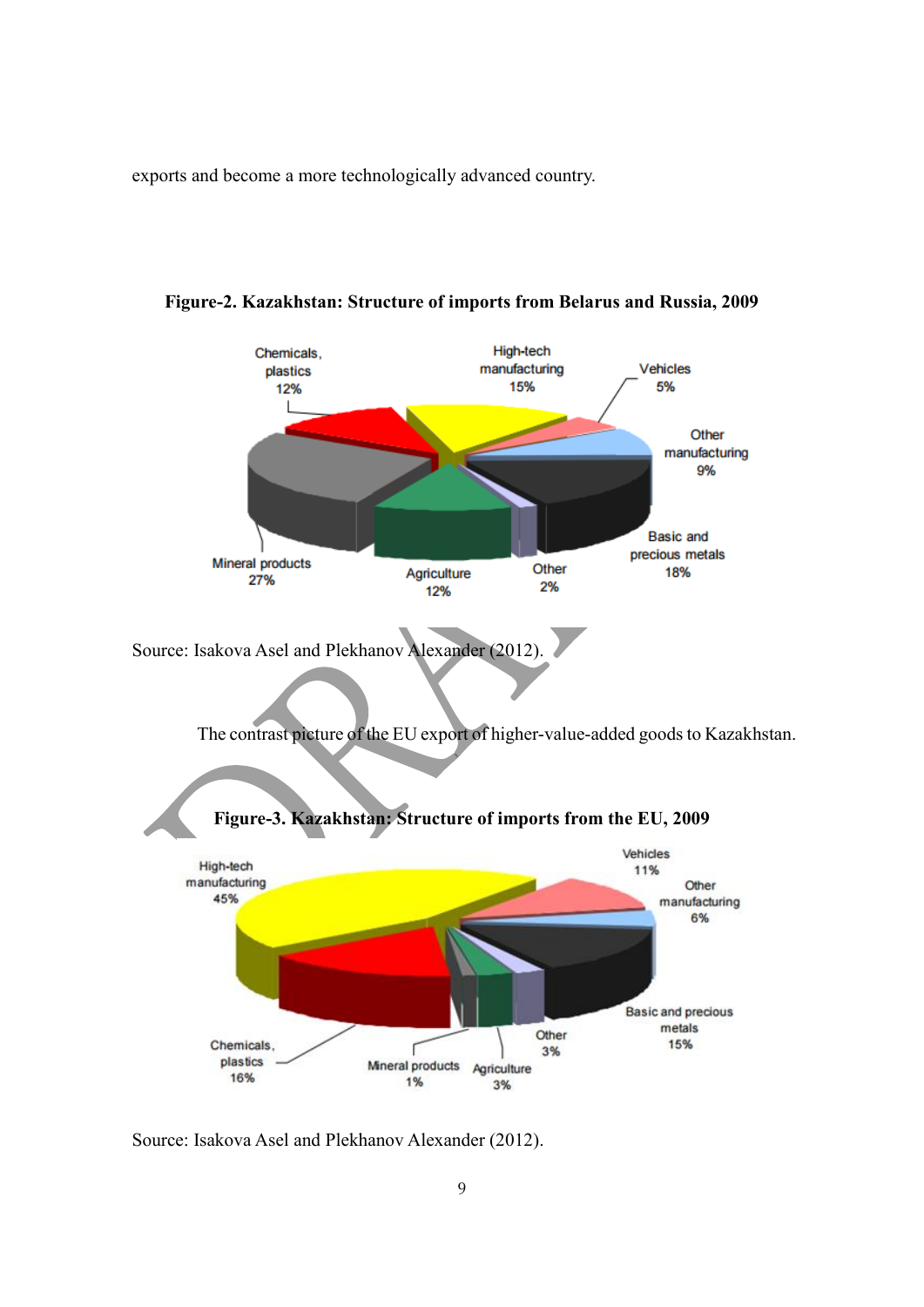exports and become a more technologically advanced country.



**Figure-2. Kazakhstan: Structure of imports from Belarus and Russia, 2009**

Source: Isakova Asel and Plekhanov Alexander (2012).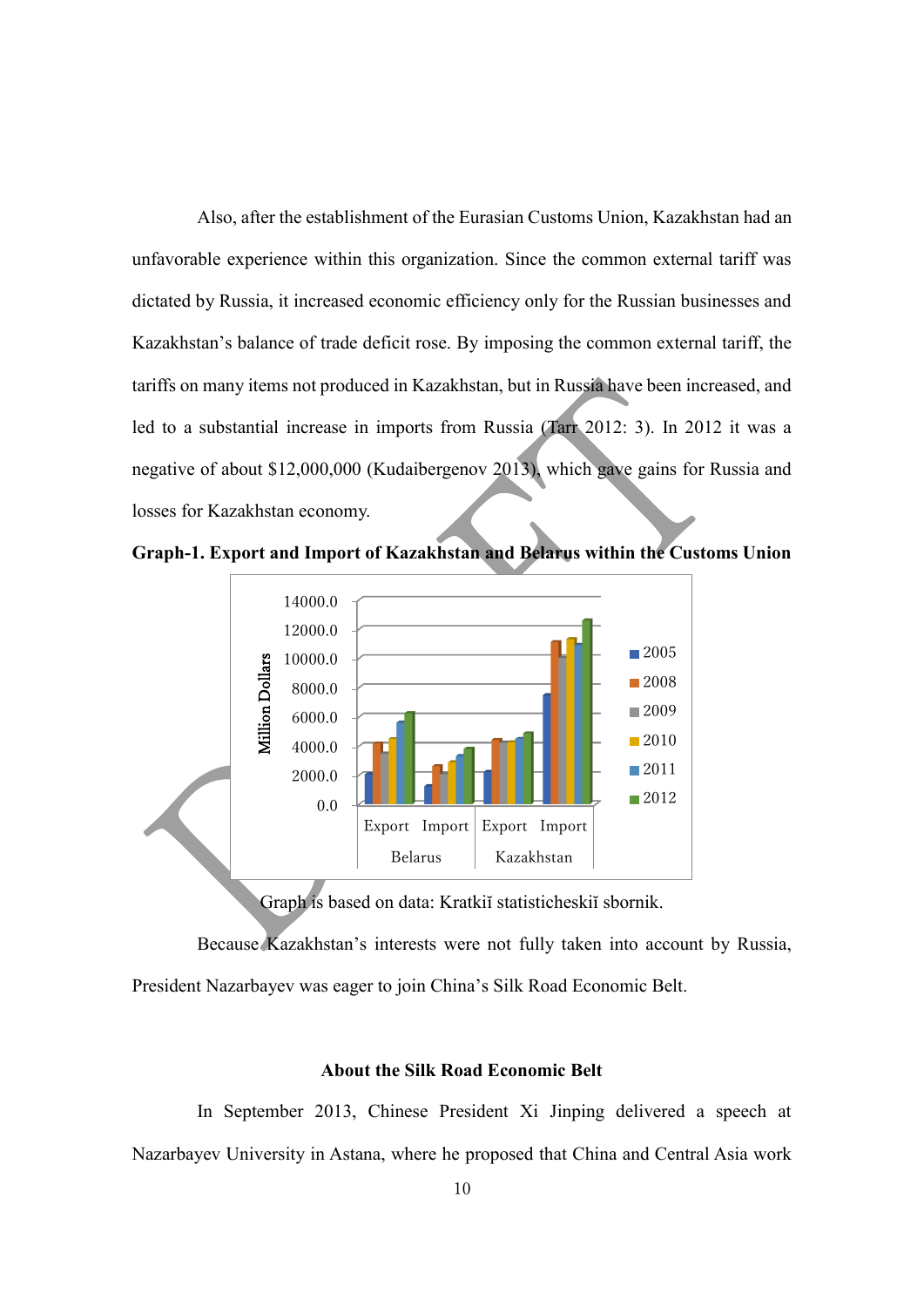Also, after the establishment of the Eurasian Customs Union, Kazakhstan had an unfavorable experience within this organization. Since the common external tariff was dictated by Russia, it increased economic efficiency only for the Russian businesses and Kazakhstan's balance of trade deficit rose. By imposing the common external tariff, the tariffs on many items not produced in Kazakhstan, but in Russia have been increased, and led to a substantial increase in imports from Russia (Tarr 2012: 3). In 2012 it was a negative of about \$12,000,000 (Kudaibergenov 2013), which gave gains for Russia and losses for Kazakhstan economy.

**Graph-1. Export and Import of Kazakhstan and Belarus within the Customs Union**



Graph is based on data: Kratkiĭ statisticheskiĭ sbornik.

Because Kazakhstan's interests were not fully taken into account by Russia, President Nazarbayev was eager to join China's Silk Road Economic Belt.

#### **About the Silk Road Economic Belt**

In September 2013, Chinese President Xi Jinping delivered a speech at Nazarbayev University in Astana, where he proposed that China and Central Asia work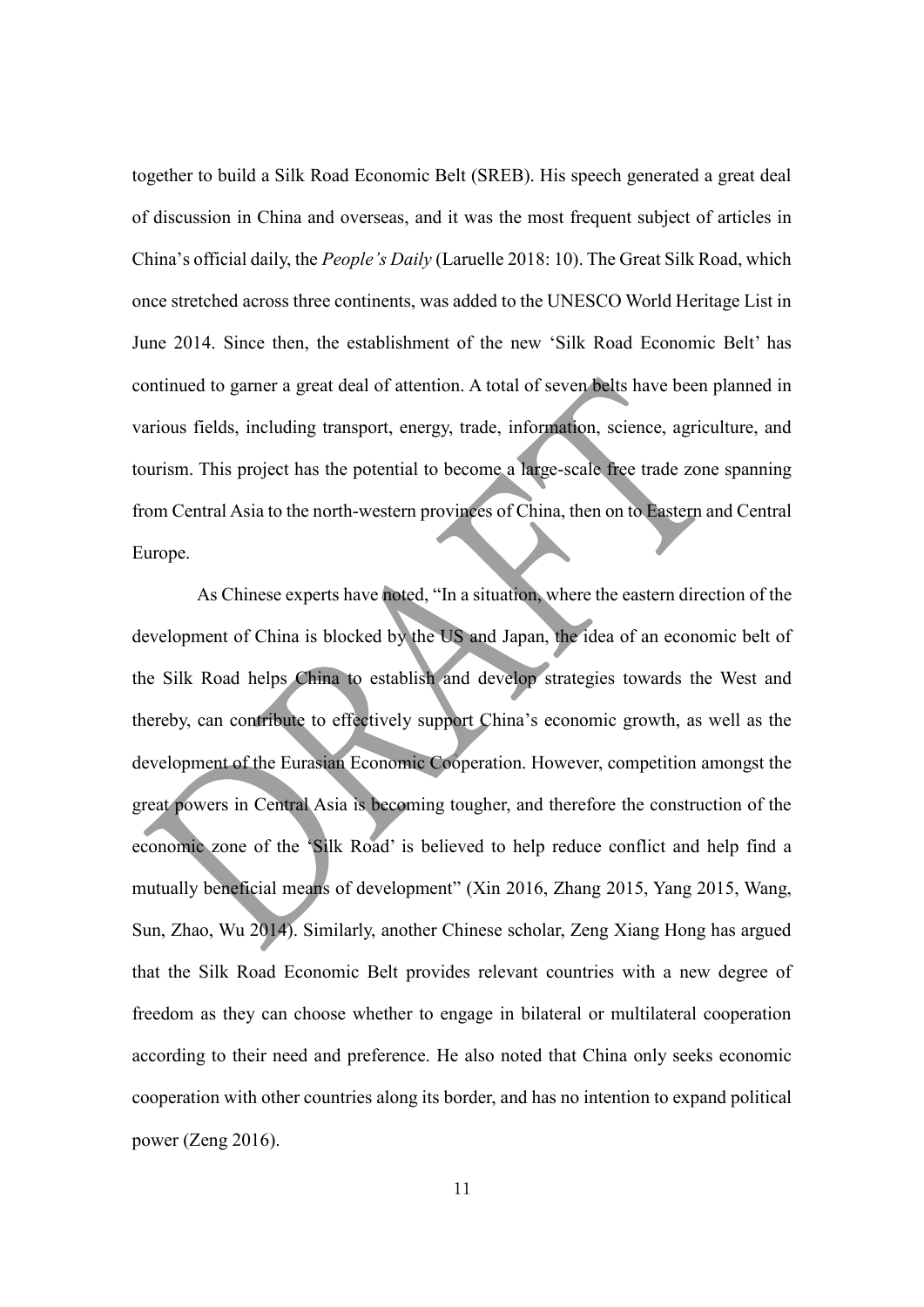together to build a Silk Road Economic Belt (SREB). His speech generated a great deal of discussion in China and overseas, and it was the most frequent subject of articles in China's official daily, the *People's Daily* (Laruelle 2018: 10). The Great Silk Road, which once stretched across three continents, was added to the UNESCO World Heritage List in June 2014. Since then, the establishment of the new 'Silk Road Economic Belt' has continued to garner a great deal of attention. A total of seven belts have been planned in various fields, including transport, energy, trade, information, science, agriculture, and tourism. This project has the potential to become a large-scale free trade zone spanning from Central Asia to the north-western provinces of China, then on to Eastern and Central Europe.

As Chinese experts have noted, "In a situation, where the eastern direction of the development of China is blocked by the US and Japan, the idea of an economic belt of the Silk Road helps China to establish and develop strategies towards the West and thereby, can contribute to effectively support China's economic growth, as well as the development of the Eurasian Economic Cooperation. However, competition amongst the great powers in Central Asia is becoming tougher, and therefore the construction of the economic zone of the 'Silk Road' is believed to help reduce conflict and help find a mutually beneficial means of development" (Xin 2016, Zhang 2015, Yang 2015, Wang, Sun, Zhao, Wu 2014). Similarly, another Chinese scholar, Zeng Xiang Hong has argued that the Silk Road Economic Belt provides relevant countries with a new degree of freedom as they can choose whether to engage in bilateral or multilateral cooperation according to their need and preference. He also noted that China only seeks economic cooperation with other countries along its border, and has no intention to expand political power (Zeng 2016).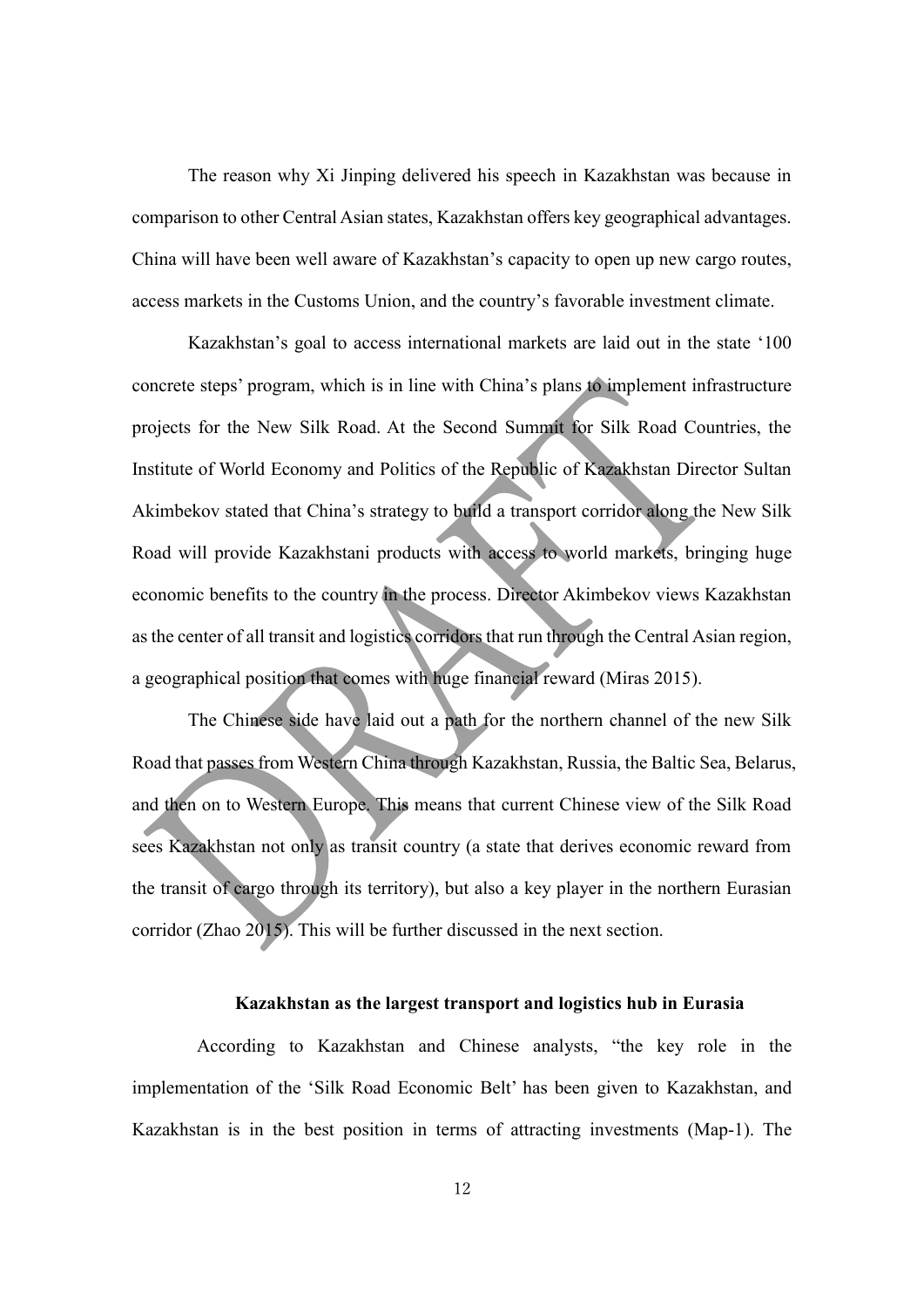The reason why Xi Jinping delivered his speech in Kazakhstan was because in comparison to other Central Asian states, Kazakhstan offers key geographical advantages. China will have been well aware of Kazakhstan's capacity to open up new cargo routes, access markets in the Customs Union, and the country's favorable investment climate.

Kazakhstan's goal to access international markets are laid out in the state '100 concrete steps' program, which is in line with China's plans to implement infrastructure projects for the New Silk Road. At the Second Summit for Silk Road Countries, the Institute of World Economy and Politics of the Republic of Kazakhstan Director Sultan Akimbekov stated that China's strategy to build a transport corridor along the New Silk Road will provide Kazakhstani products with access to world markets, bringing huge economic benefits to the country in the process. Director Akimbekov views Kazakhstan as the center of all transit and logistics corridors that run through the Central Asian region, a geographical position that comes with huge financial reward (Miras 2015).

The Chinese side have laid out a path for the northern channel of the new Silk Road that passes from Western China through Kazakhstan, Russia, the Baltic Sea, Belarus, and then on to Western Europe. This means that current Chinese view of the Silk Road sees Kazakhstan not only as transit country (a state that derives economic reward from the transit of cargo through its territory), but also a key player in the northern Eurasian corridor (Zhao 2015). This will be further discussed in the next section.

#### **Kazakhstan as the largest transport and logistics hub in Eurasia**

According to Kazakhstan and Chinese analysts, "the key role in the implementation of the 'Silk Road Economic Belt' has been given to Kazakhstan, and Kazakhstan is in the best position in terms of attracting investments (Map-1). The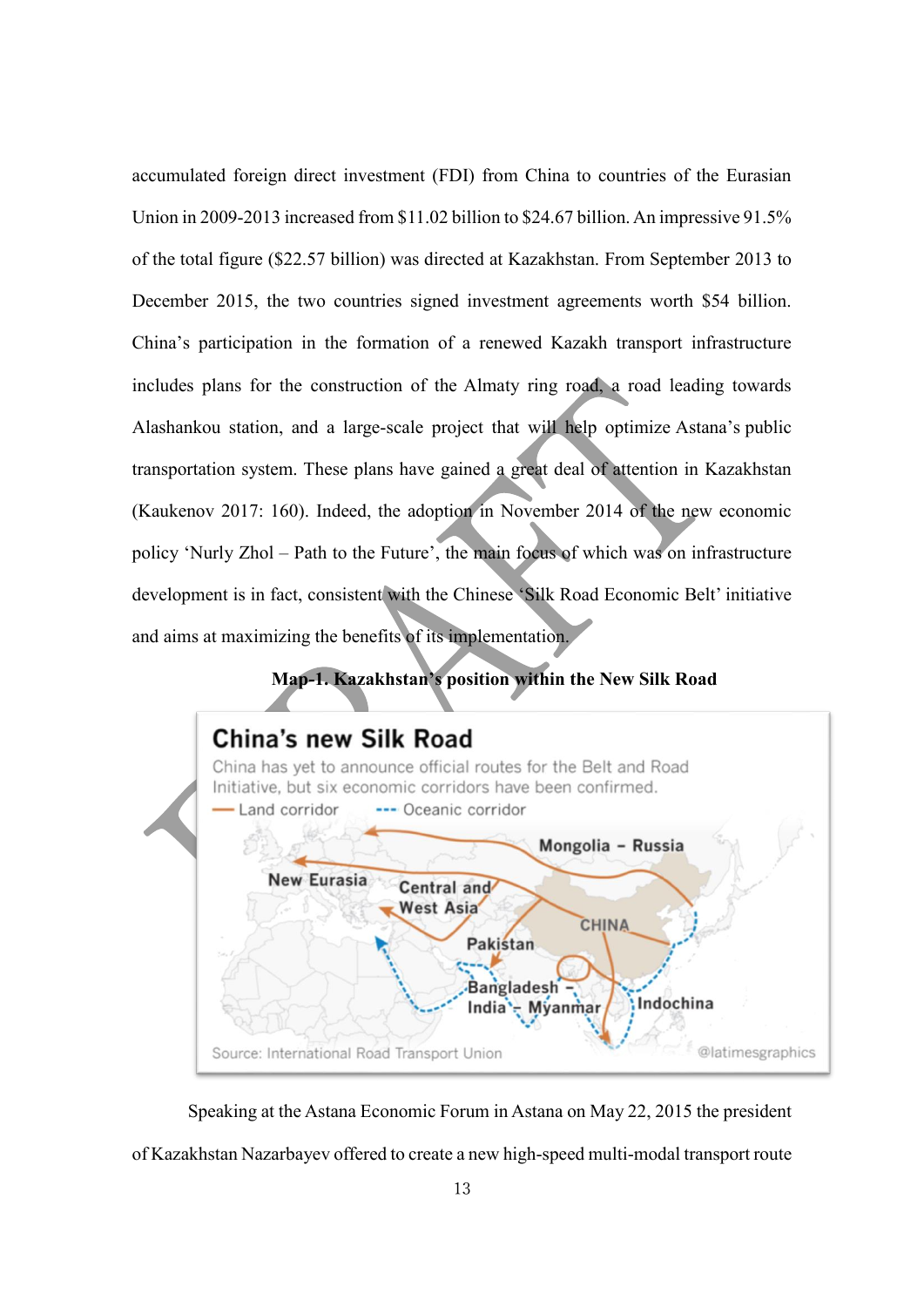accumulated foreign direct investment (FDI) from China to countries of the Eurasian Union in 2009-2013 increased from \$11.02 billion to \$24.67 billion. An impressive 91.5% of the total figure (\$22.57 billion) was directed at Kazakhstan. From September 2013 to December 2015, the two countries signed investment agreements worth \$54 billion. China's participation in the formation of a renewed Kazakh transport infrastructure includes plans for the construction of the Almaty ring road, a road leading towards Alashankou station, and a large-scale project that will help optimize Astana's public transportation system. These plans have gained a great deal of attention in Kazakhstan (Kaukenov 2017: 160). Indeed, the adoption in November 2014 of the new economic policy 'Nurly Zhol – Path to the Future', the main focus of which was on infrastructure development is in fact, consistent with the Chinese 'Silk Road Economic Belt' initiative and aims at maximizing the benefits of its implementation.

## **Map-1. Kazakhstan's position within the New Silk Road**



Speaking at the Astana Economic Forum in Astana on May 22, 2015 the president of Kazakhstan Nazarbayev offered to create a new high-speed multi-modal transport route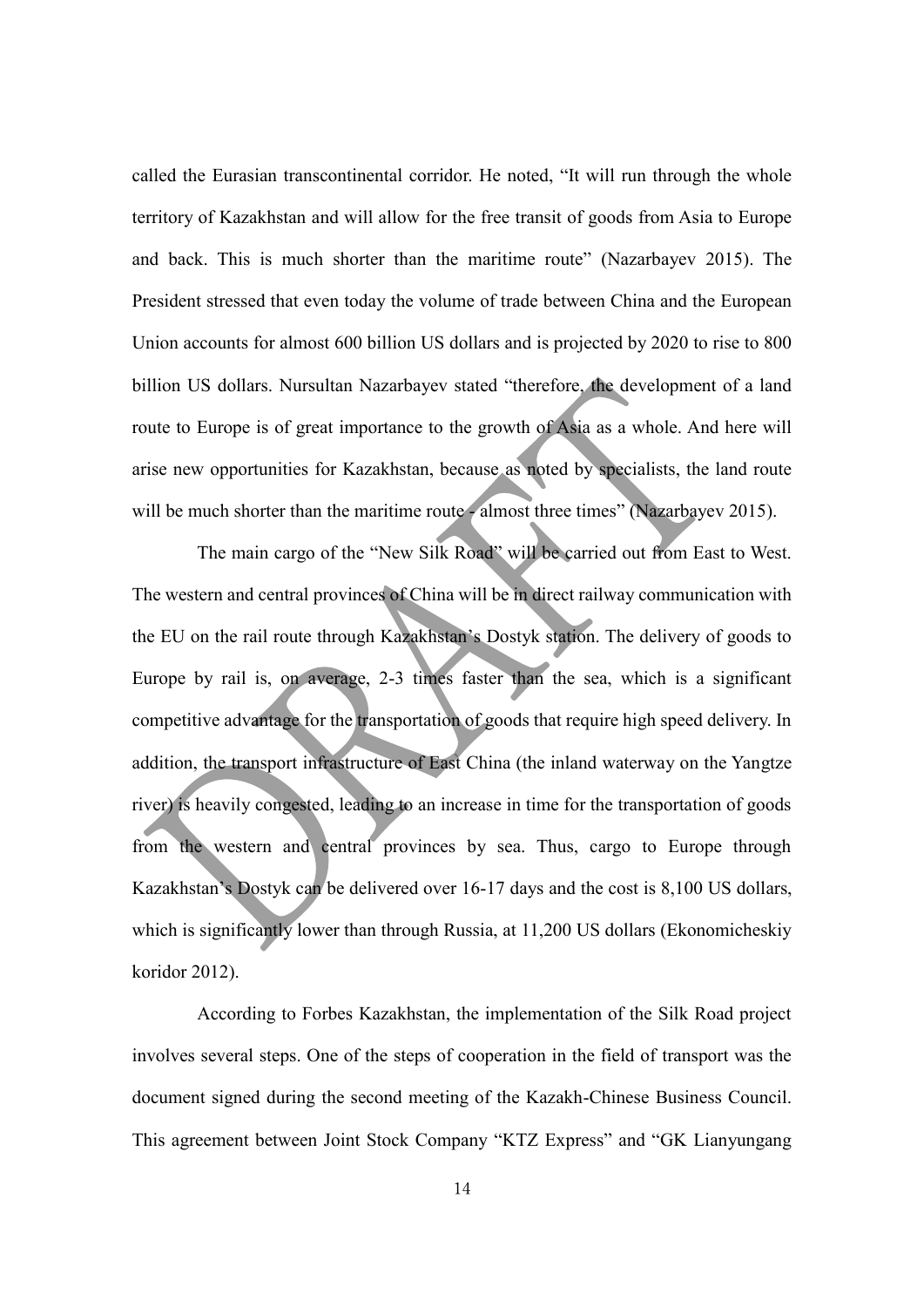called the Eurasian transcontinental corridor. He noted, "It will run through the whole territory of Kazakhstan and will allow for the free transit of goods from Asia to Europe and back. This is much shorter than the maritime route" (Nazarbayev 2015). The President stressed that even today the volume of trade between China and the European Union accounts for almost 600 billion US dollars and is projected by 2020 to rise to 800 billion US dollars. Nursultan Nazarbayev stated "therefore, the development of a land route to Europe is of great importance to the growth of Asia as a whole. And here will arise new opportunities for Kazakhstan, because as noted by specialists, the land route will be much shorter than the maritime route - almost three times" (Nazarbayev 2015).

The main cargo of the "New Silk Road" will be carried out from East to West. The western and central provinces of China will be in direct railway communication with the EU on the rail route through Kazakhstan's Dostyk station. The delivery of goods to Europe by rail is, on average, 2-3 times faster than the sea, which is a significant competitive advantage for the transportation of goods that require high speed delivery. In addition, the transport infrastructure of East China (the inland waterway on the Yangtze river) is heavily congested, leading to an increase in time for the transportation of goods from the western and central provinces by sea. Thus, cargo to Europe through Kazakhstan's Dostyk can be delivered over 16-17 days and the cost is 8,100 US dollars, which is significantly lower than through Russia, at 11,200 US dollars (Ekonomicheskiy koridor 2012).

According to Forbes Kazakhstan, the implementation of the Silk Road project involves several steps. One of the steps of cooperation in the field of transport was the document signed during the second meeting of the Kazakh-Chinese Business Council. This agreement between Joint Stock Company "KTZ Express" and "GK Lianyungang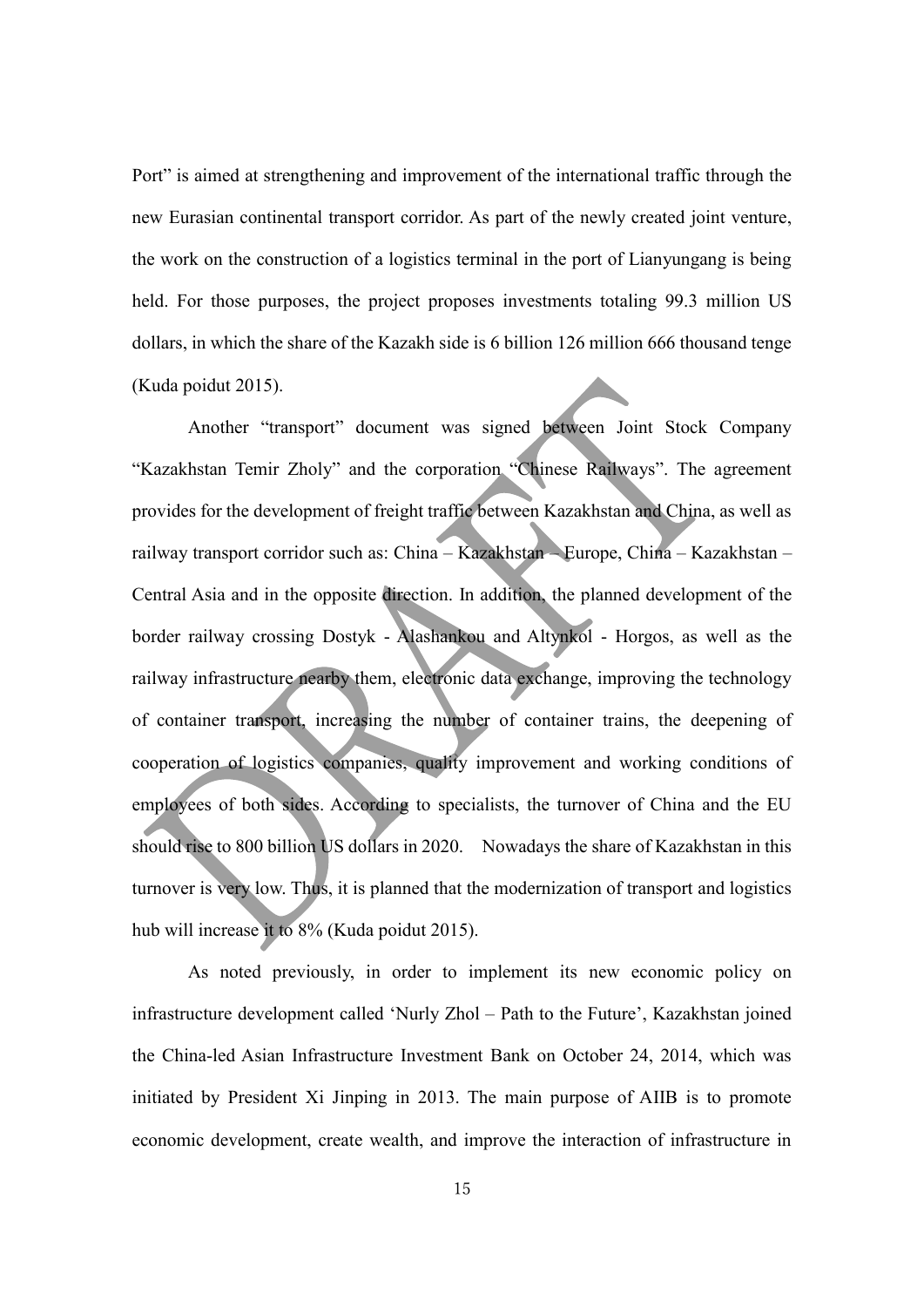Port" is aimed at strengthening and improvement of the international traffic through the new Eurasian continental transport corridor. As part of the newly created joint venture, the work on the construction of a logistics terminal in the port of Lianyungang is being held. For those purposes, the project proposes investments totaling 99.3 million US dollars, in which the share of the Kazakh side is 6 billion 126 million 666 thousand tenge (Kuda poidut 2015).

Another "transport" document was signed between Joint Stock Company "Kazakhstan Temir Zholy" and the corporation "Chinese Railways". The agreement provides for the development of freight traffic between Kazakhstan and China, as well as railway transport corridor such as: China – Kazakhstan – Europe, China – Kazakhstan – Central Asia and in the opposite direction. In addition, the planned development of the border railway crossing Dostyk - Alashankou and Altynkol - Horgos, as well as the railway infrastructure nearby them, electronic data exchange, improving the technology of container transport, increasing the number of container trains, the deepening of cooperation of logistics companies, quality improvement and working conditions of employees of both sides. According to specialists, the turnover of China and the EU should rise to 800 billion US dollars in 2020. Nowadays the share of Kazakhstan in this turnover is very low. Thus, it is planned that the modernization of transport and logistics hub will increase it to 8% (Kuda poidut 2015).

As noted previously, in order to implement its new economic policy on infrastructure development called 'Nurly Zhol – Path to the Future', Kazakhstan joined the China-led Asian Infrastructure Investment Bank on October 24, 2014, which was initiated by President Xi Jinping in 2013. The main purpose of AIIB is to promote economic development, create wealth, and improve the interaction of infrastructure in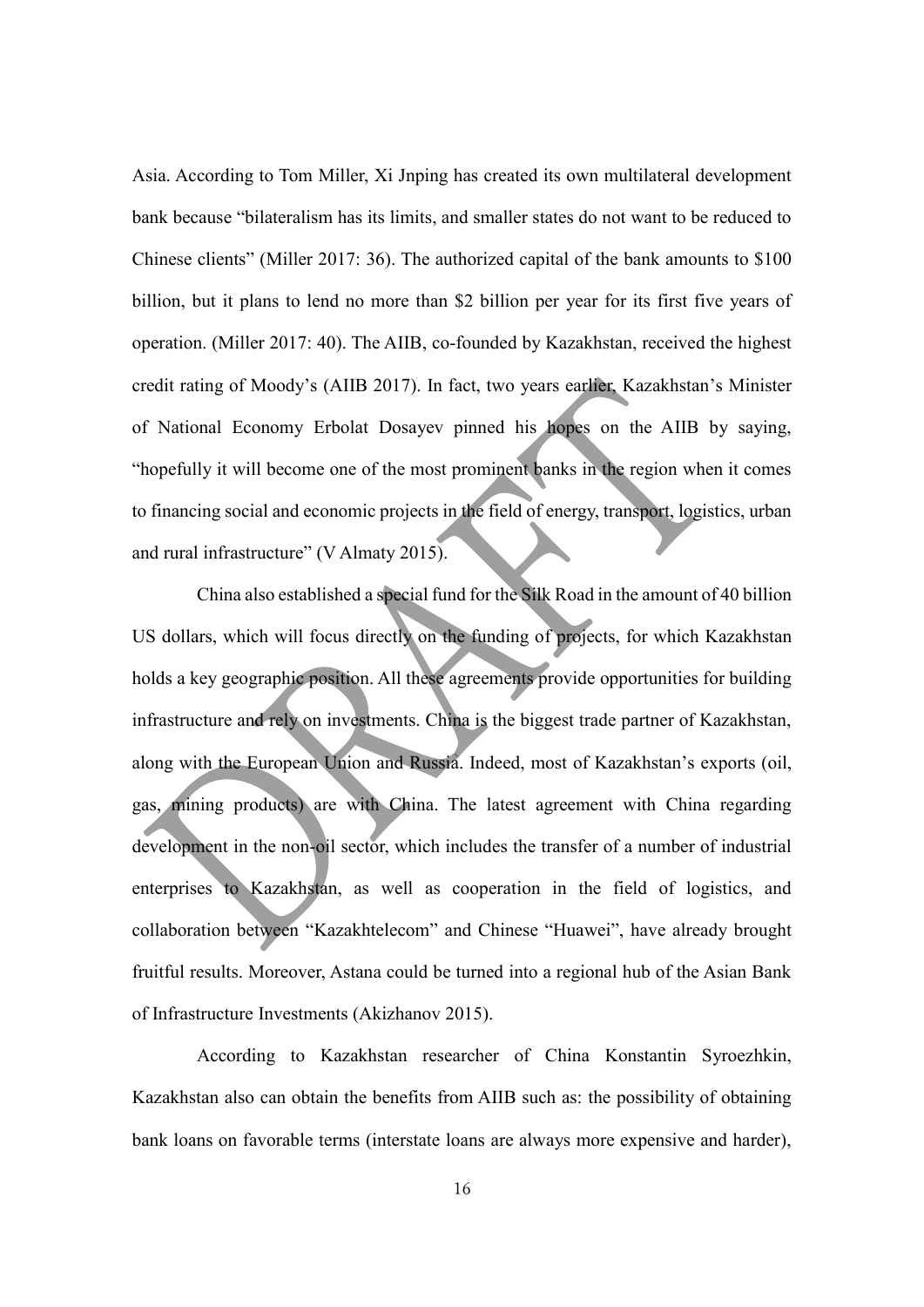Asia. According to Tom Miller, Xi Jnping has created its own multilateral development bank because "bilateralism has its limits, and smaller states do not want to be reduced to Chinese clients" (Miller 2017: 36). The authorized capital of the bank amounts to \$100 billion, but it plans to lend no more than \$2 billion per year for its first five years of operation. (Miller 2017: 40). The AIIB, co-founded by Kazakhstan, received the highest credit rating of Moody's (AIIB 2017). In fact, two years earlier, Kazakhstan's Minister of National Economy Erbolat Dosayev pinned his hopes on the AIIB by saying, "hopefully it will become one of the most prominent banks in the region when it comes to financing social and economic projects in the field of energy, transport, logistics, urban and rural infrastructure" (V Almaty 2015).

China also established a special fund for the Silk Road in the amount of 40 billion US dollars, which will focus directly on the funding of projects, for which Kazakhstan holds a key geographic position. All these agreements provide opportunities for building infrastructure and rely on investments. China is the biggest trade partner of Kazakhstan, along with the European Union and Russia. Indeed, most of Kazakhstan's exports (oil, gas, mining products) are with China. The latest agreement with China regarding development in the non-oil sector, which includes the transfer of a number of industrial enterprises to Kazakhstan, as well as cooperation in the field of logistics, and collaboration between "Kazakhtelecom" and Chinese "Huawei", have already brought fruitful results. Moreover, Astana could be turned into a regional hub of the Asian Bank of Infrastructure Investments (Akizhanov 2015).

According to Kazakhstan researcher of China Konstantin Syroezhkin, Kazakhstan also can obtain the benefits from AIIB such as: the possibility of obtaining bank loans on favorable terms (interstate loans are always more expensive and harder),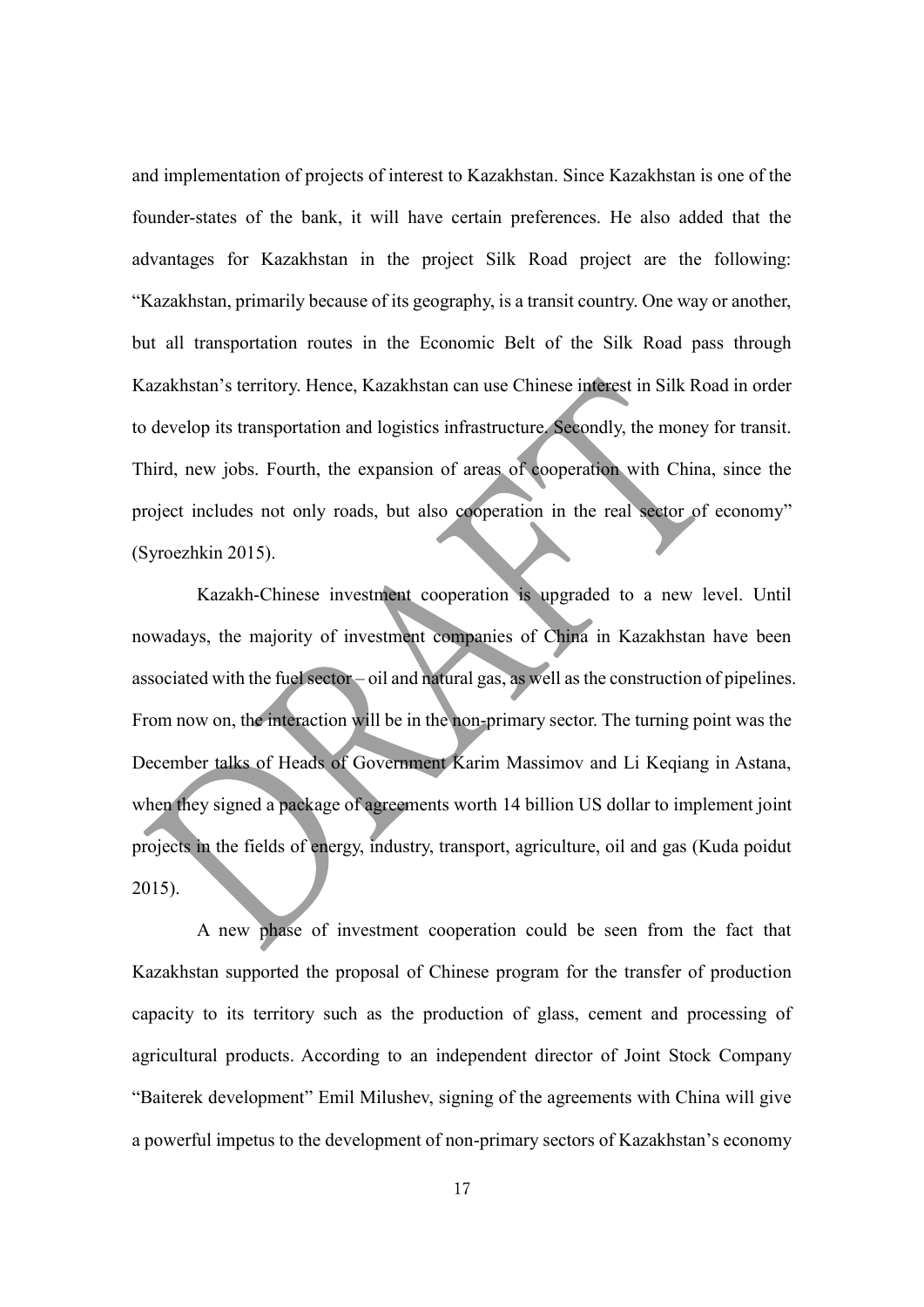and implementation of projects of interest to Kazakhstan. Since Kazakhstan is one of the founder-states of the bank, it will have certain preferences. He also added that the advantages for Kazakhstan in the project Silk Road project are the following: "Kazakhstan, primarily because of its geography, is a transit country. One way or another, but all transportation routes in the Economic Belt of the Silk Road pass through Kazakhstan's territory. Hence, Kazakhstan can use Chinese interest in Silk Road in order to develop its transportation and logistics infrastructure. Secondly, the money for transit. Third, new jobs. Fourth, the expansion of areas of cooperation with China, since the project includes not only roads, but also cooperation in the real sector of economy" (Syroezhkin 2015).

Kazakh-Chinese investment cooperation is upgraded to a new level. Until nowadays, the majority of investment companies of China in Kazakhstan have been associated with the fuel sector – oil and natural gas, as well as the construction of pipelines. From now on, the interaction will be in the non-primary sector. The turning point was the December talks of Heads of Government Karim Massimov and Li Keqiang in Astana, when they signed a package of agreements worth 14 billion US dollar to implement joint projects in the fields of energy, industry, transport, agriculture, oil and gas (Kuda poidut 2015).

A new phase of investment cooperation could be seen from the fact that Kazakhstan supported the proposal of Chinese program for the transfer of production capacity to its territory such as the production of glass, cement and processing of agricultural products. According to an independent director of Joint Stock Company "Baiterek development" Emil Milushev, signing of the agreements with China will give a powerful impetus to the development of non-primary sectors of Kazakhstan's economy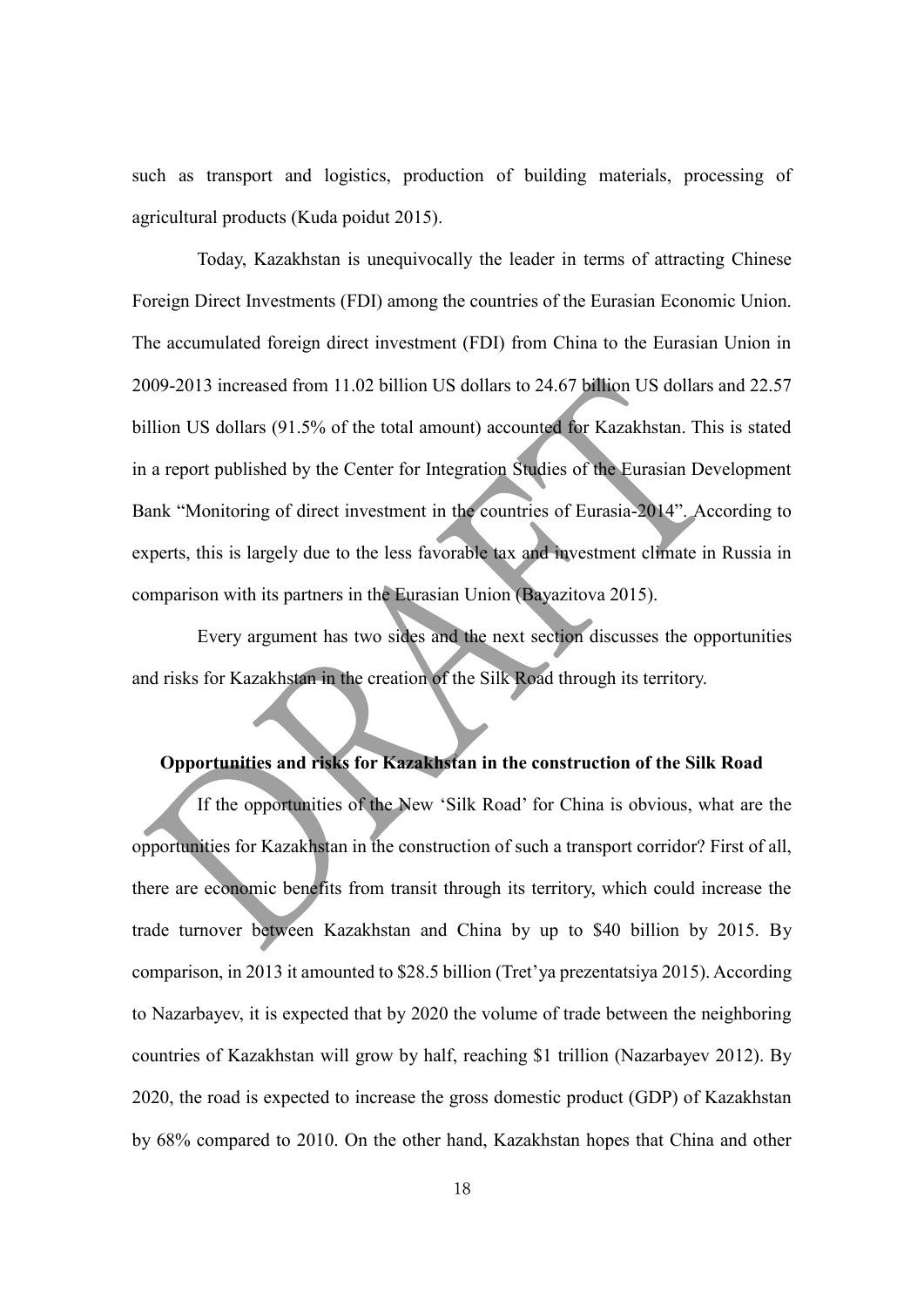such as transport and logistics, production of building materials, processing of agricultural products (Kuda poidut 2015).

Today, Kazakhstan is unequivocally the leader in terms of attracting Chinese Foreign Direct Investments (FDI) among the countries of the Eurasian Economic Union. The accumulated foreign direct investment (FDI) from China to the Eurasian Union in 2009-2013 increased from 11.02 billion US dollars to 24.67 billion US dollars and 22.57 billion US dollars (91.5% of the total amount) accounted for Kazakhstan. This is stated in a report published by the Center for Integration Studies of the Eurasian Development Bank "Monitoring of direct investment in the countries of Eurasia-2014". According to experts, this is largely due to the less favorable tax and investment climate in Russia in comparison with its partners in the Eurasian Union (Bayazitova 2015).

Every argument has two sides and the next section discusses the opportunities and risks for Kazakhstan in the creation of the Silk Road through its territory.

#### **Opportunities and risks for Kazakhstan in the construction of the Silk Road**

If the opportunities of the New 'Silk Road' for China is obvious, what are the opportunities for Kazakhstan in the construction of such a transport corridor? First of all, there are economic benefits from transit through its territory, which could increase the trade turnover between Kazakhstan and China by up to \$40 billion by 2015. By comparison, in 2013 it amounted to \$28.5 billion (Tret'ya prezentatsiya 2015). According to Nazarbayev, it is expected that by 2020 the volume of trade between the neighboring countries of Kazakhstan will grow by half, reaching \$1 trillion (Nazarbayev 2012). By 2020, the road is expected to increase the gross domestic product (GDP) of Kazakhstan by 68% compared to 2010. On the other hand, Kazakhstan hopes that China and other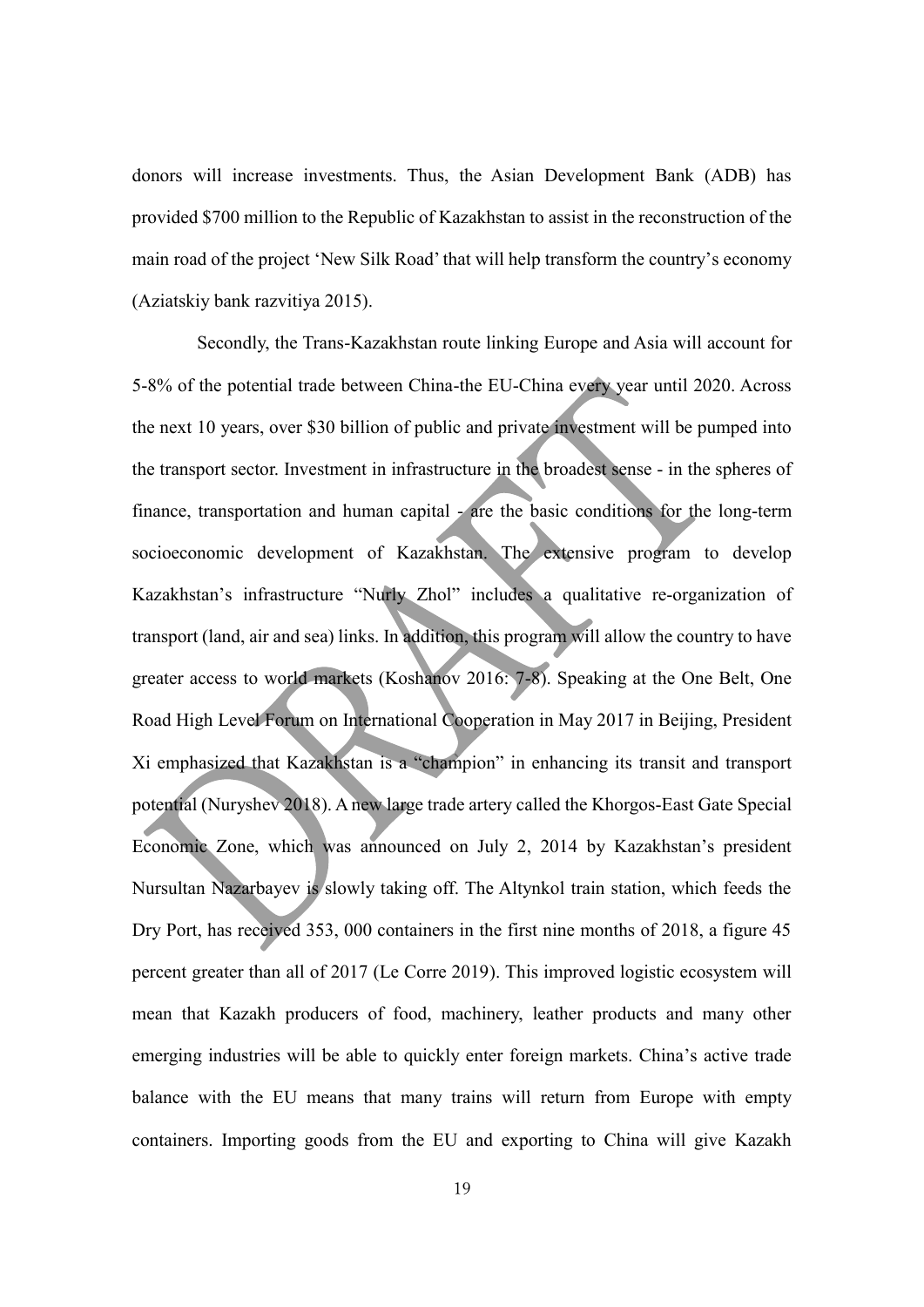donors will increase investments. Thus, the Asian Development Bank (ADB) has provided \$700 million to the Republic of Kazakhstan to assist in the reconstruction of the main road of the project 'New Silk Road' that will help transform the country's economy (Aziatskiy bank razvitiya 2015).

Secondly, the Trans-Kazakhstan route linking Europe and Asia will account for 5-8% of the potential trade between China-the EU-China every year until 2020. Across the next 10 years, over \$30 billion of public and private investment will be pumped into the transport sector. Investment in infrastructure in the broadest sense - in the spheres of finance, transportation and human capital - are the basic conditions for the long-term socioeconomic development of Kazakhstan. The extensive program to develop Kazakhstan's infrastructure "Nurly Zhol" includes a qualitative re-organization of transport (land, air and sea) links. In addition, this program will allow the country to have greater access to world markets (Koshanov 2016: 7-8). Speaking at the One Belt, One Road High Level Forum on International Cooperation in May 2017 in Beijing, President Xi emphasized that Kazakhstan is a "champion" in enhancing its transit and transport potential (Nuryshev 2018). A new large trade artery called the Khorgos-East Gate Special Economic Zone, which was announced on July 2, 2014 by Kazakhstan's president Nursultan Nazarbayev is slowly taking off. The Altynkol train station, which feeds the Dry Port, has received 353, 000 containers in the first nine months of 2018, a figure 45 percent greater than all of 2017 (Le Corre 2019). This improved logistic ecosystem will mean that Kazakh producers of food, machinery, leather products and many other emerging industries will be able to quickly enter foreign markets. China's active trade balance with the EU means that many trains will return from Europe with empty containers. Importing goods from the EU and exporting to China will give Kazakh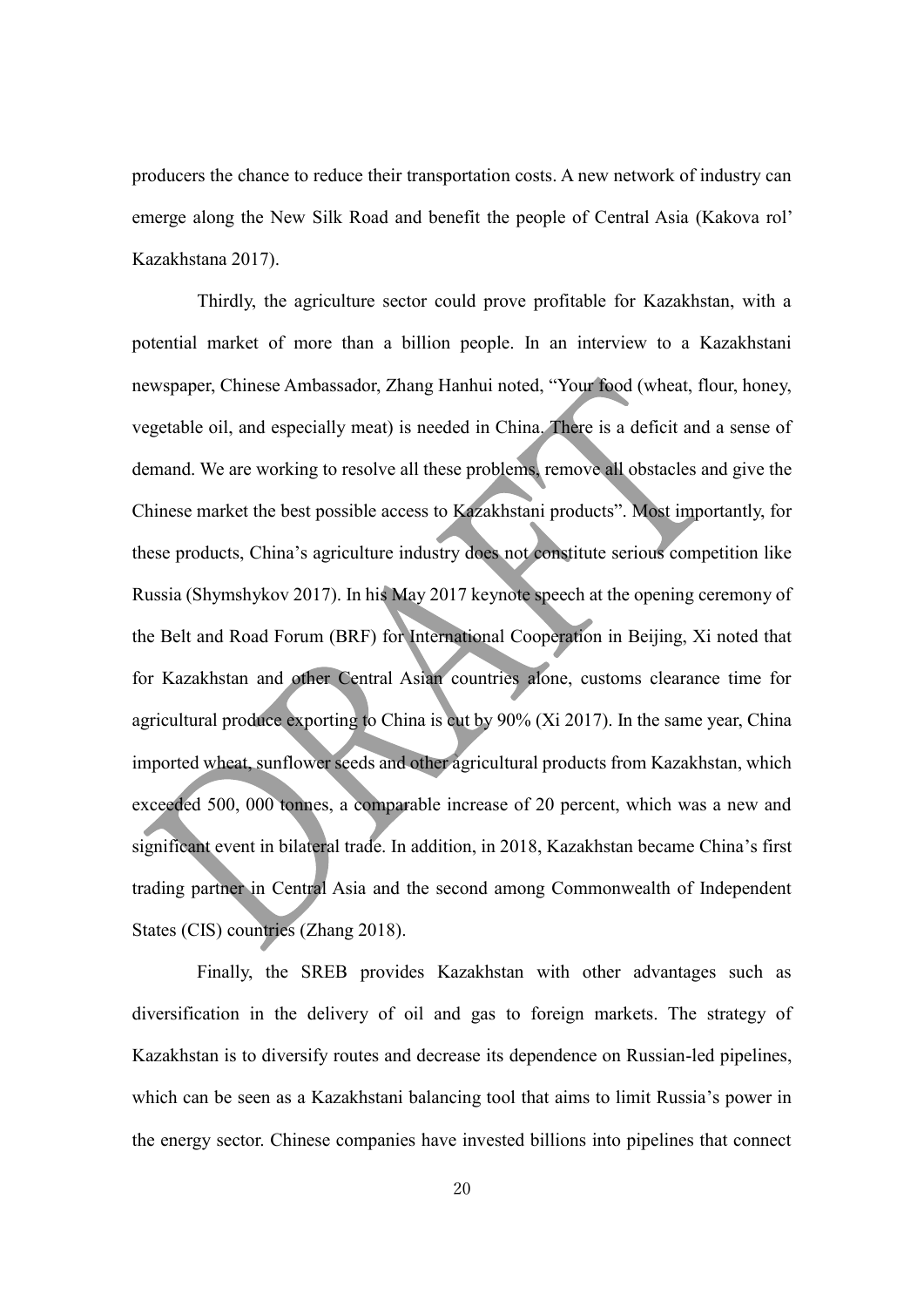producers the chance to reduce their transportation costs. A new network of industry can emerge along the New Silk Road and benefit the people of Central Asia (Kakova rol' Kazakhstana 2017).

Thirdly, the agriculture sector could prove profitable for Kazakhstan, with a potential market of more than a billion people. In an interview to a Kazakhstani newspaper, Chinese Ambassador, Zhang Hanhui noted, "Your food (wheat, flour, honey, vegetable oil, and especially meat) is needed in China. There is a deficit and a sense of demand. We are working to resolve all these problems, remove all obstacles and give the Chinese market the best possible access to Kazakhstani products". Most importantly, for these products, China's agriculture industry does not constitute serious competition like Russia (Shymshykov 2017). In his May 2017 keynote speech at the opening ceremony of the Belt and Road Forum (BRF) for International Cooperation in Beijing, Xi noted that for Kazakhstan and other Central Asian countries alone, customs clearance time for agricultural produce exporting to China is cut by 90% (Xi 2017). In the same year, China imported wheat, sunflower seeds and other agricultural products from Kazakhstan, which exceeded 500, 000 tonnes, a comparable increase of 20 percent, which was a new and significant event in bilateral trade. In addition, in 2018, Kazakhstan became China's first trading partner in Central Asia and the second among Commonwealth of Independent States (CIS) countries (Zhang 2018).

Finally, the SREB provides Kazakhstan with other advantages such as diversification in the delivery of oil and gas to foreign markets. The strategy of Kazakhstan is to diversify routes and decrease its dependence on Russian-led pipelines, which can be seen as a Kazakhstani balancing tool that aims to limit Russia's power in the energy sector. Chinese companies have invested billions into pipelines that connect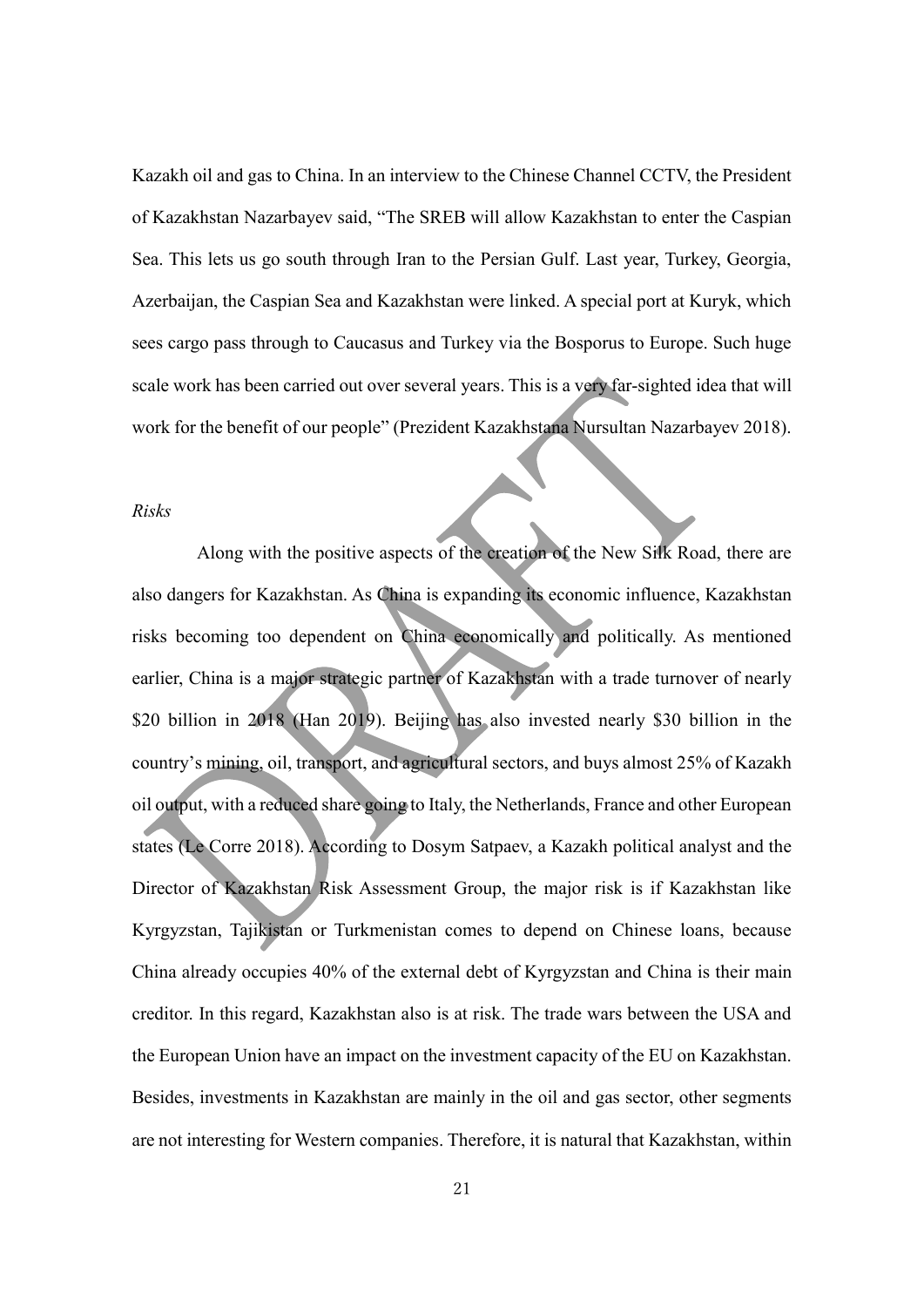Kazakh oil and gas to China. In an interview to the Chinese Channel CCTV, the President of Kazakhstan Nazarbayev said, "The SREB will allow Kazakhstan to enter the Caspian Sea. This lets us go south through Iran to the Persian Gulf. Last year, Turkey, Georgia, Azerbaijan, the Caspian Sea and Kazakhstan were linked. A special port at Kuryk, which sees cargo pass through to Caucasus and Turkey via the Bosporus to Europe. Such huge scale work has been carried out over several years. This is a very far-sighted idea that will work for the benefit of our people" (Prezident Kazakhstana Nursultan Nazarbayev 2018).

#### *Risks*

Along with the positive aspects of the creation of the New Silk Road, there are also dangers for Kazakhstan. As China is expanding its economic influence, Kazakhstan risks becoming too dependent on China economically and politically. As mentioned earlier, China is a major strategic partner of Kazakhstan with a trade turnover of nearly \$20 billion in 2018 (Han 2019). Beijing has also invested nearly \$30 billion in the country's mining, oil, transport, and agricultural sectors, and buys almost 25% of Kazakh oil output, with a reduced share going to Italy, the Netherlands, France and other European states (Le Corre 2018). According to Dosym Satpaev, a Kazakh political analyst and the Director of Kazakhstan Risk Assessment Group, the major risk is if Kazakhstan like Kyrgyzstan, Tajikistan or Turkmenistan comes to depend on Chinese loans, because China already occupies 40% of the external debt of Kyrgyzstan and China is their main creditor. In this regard, Kazakhstan also is at risk. The trade wars between the USA and the European Union have an impact on the investment capacity of the EU on Kazakhstan. Besides, investments in Kazakhstan are mainly in the oil and gas sector, other segments are not interesting for Western companies. Therefore, it is natural that Kazakhstan, within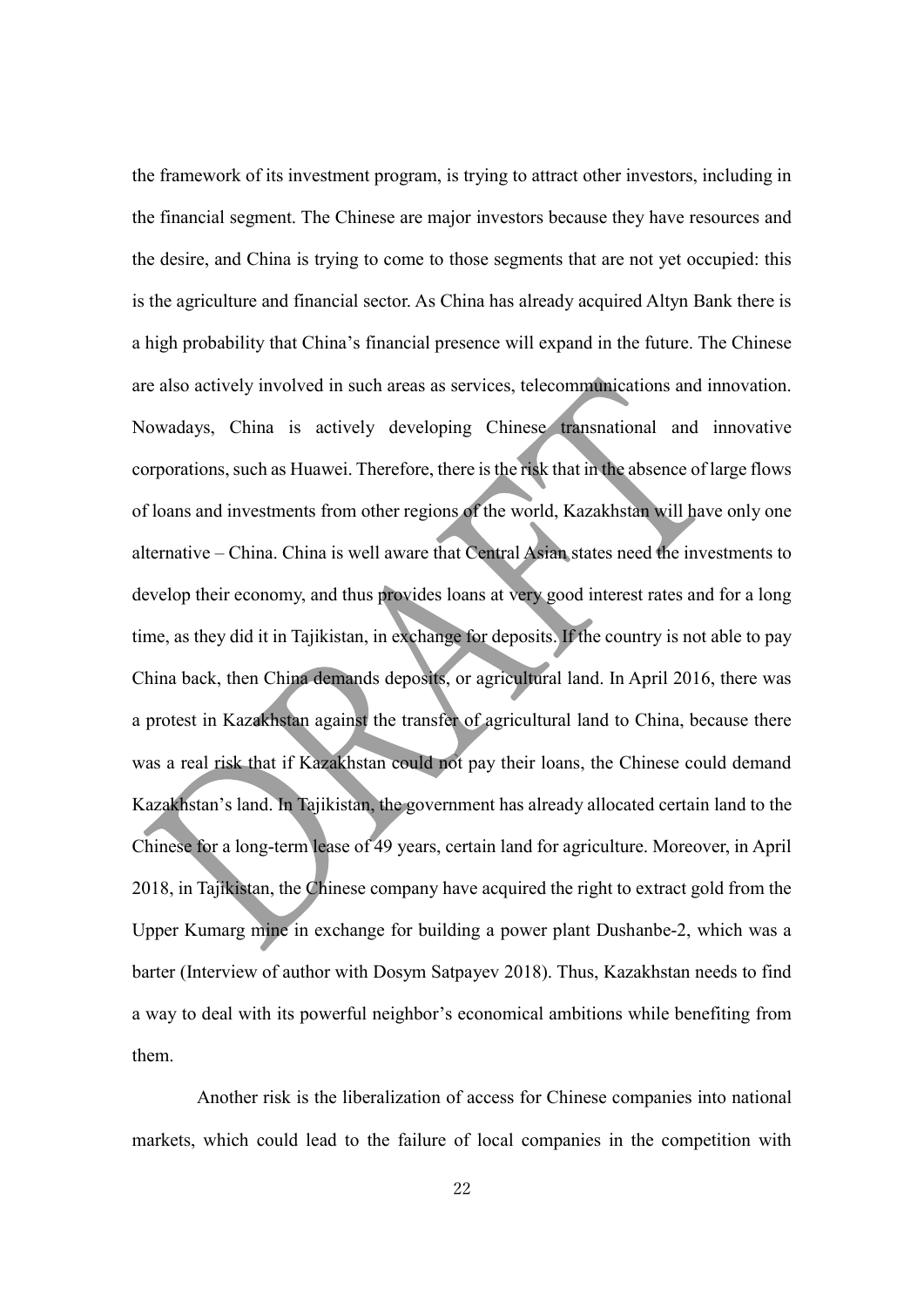the framework of its investment program, is trying to attract other investors, including in the financial segment. The Chinese are major investors because they have resources and the desire, and China is trying to come to those segments that are not yet occupied: this is the agriculture and financial sector. As China has already acquired Altyn Bank there is a high probability that China's financial presence will expand in the future. The Chinese are also actively involved in such areas as services, telecommunications and innovation. Nowadays, China is actively developing Chinese transnational and innovative corporations, such as Huawei. Therefore, there is the risk that in the absence of large flows of loans and investments from other regions of the world, Kazakhstan will have only one alternative – China. China is well aware that Central Asian states need the investments to develop their economy, and thus provides loans at very good interest rates and for a long time, as they did it in Tajikistan, in exchange for deposits. If the country is not able to pay China back, then China demands deposits, or agricultural land. In April 2016, there was a protest in Kazakhstan against the transfer of agricultural land to China, because there was a real risk that if Kazakhstan could not pay their loans, the Chinese could demand Kazakhstan's land. In Tajikistan, the government has already allocated certain land to the Chinese for a long-term lease of 49 years, certain land for agriculture. Moreover, in April 2018, in Tajikistan, the Chinese company have acquired the right to extract gold from the Upper Kumarg mine in exchange for building a power plant Dushanbe-2, which was a barter (Interview of author with Dosym Satpayev 2018). Thus, Kazakhstan needs to find a way to deal with its powerful neighbor's economical ambitions while benefiting from them.

Another risk is the liberalization of access for Chinese companies into national markets, which could lead to the failure of local companies in the competition with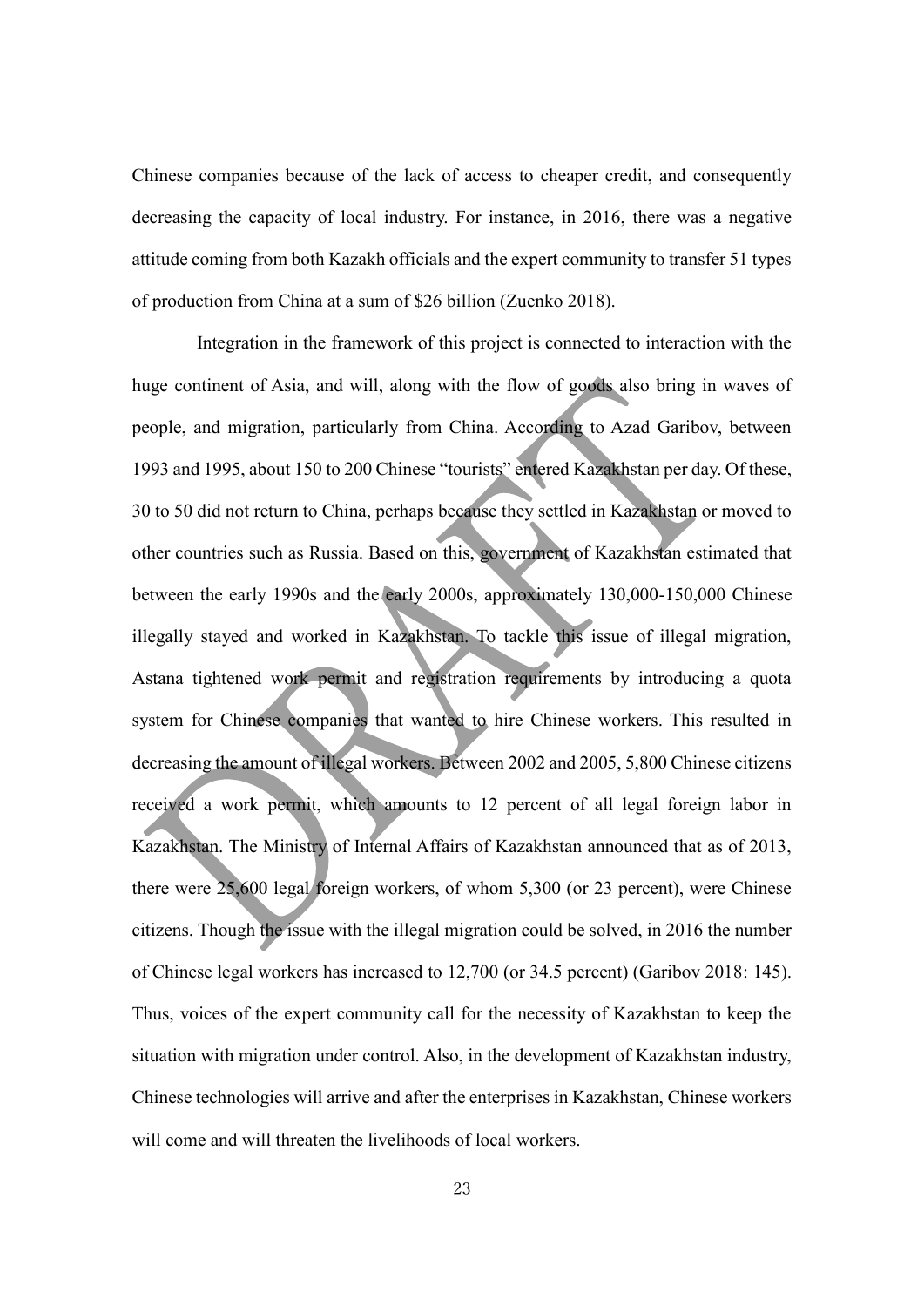Chinese companies because of the lack of access to cheaper credit, and consequently decreasing the capacity of local industry. For instance, in 2016, there was a negative attitude coming from both Kazakh officials and the expert community to transfer 51 types of production from China at a sum of \$26 billion (Zuenko 2018).

Integration in the framework of this project is connected to interaction with the huge continent of Asia, and will, along with the flow of goods also bring in waves of people, and migration, particularly from China. According to Azad Garibov, between 1993 and 1995, about 150 to 200 Chinese "tourists" entered Kazakhstan per day. Of these, 30 to 50 did not return to China, perhaps because they settled in Kazakhstan or moved to other countries such as Russia. Based on this, government of Kazakhstan estimated that between the early 1990s and the early 2000s, approximately 130,000-150,000 Chinese illegally stayed and worked in Kazakhstan. To tackle this issue of illegal migration, Astana tightened work permit and registration requirements by introducing a quota system for Chinese companies that wanted to hire Chinese workers. This resulted in decreasing the amount of illegal workers. Between 2002 and 2005, 5,800 Chinese citizens received a work permit, which amounts to 12 percent of all legal foreign labor in Kazakhstan. The Ministry of Internal Affairs of Kazakhstan announced that as of 2013, there were 25,600 legal foreign workers, of whom 5,300 (or 23 percent), were Chinese citizens. Though the issue with the illegal migration could be solved, in 2016 the number of Chinese legal workers has increased to 12,700 (or 34.5 percent) (Garibov 2018: 145). Thus, voices of the expert community call for the necessity of Kazakhstan to keep the situation with migration under control. Also, in the development of Kazakhstan industry, Chinese technologies will arrive and after the enterprises in Kazakhstan, Chinese workers will come and will threaten the livelihoods of local workers.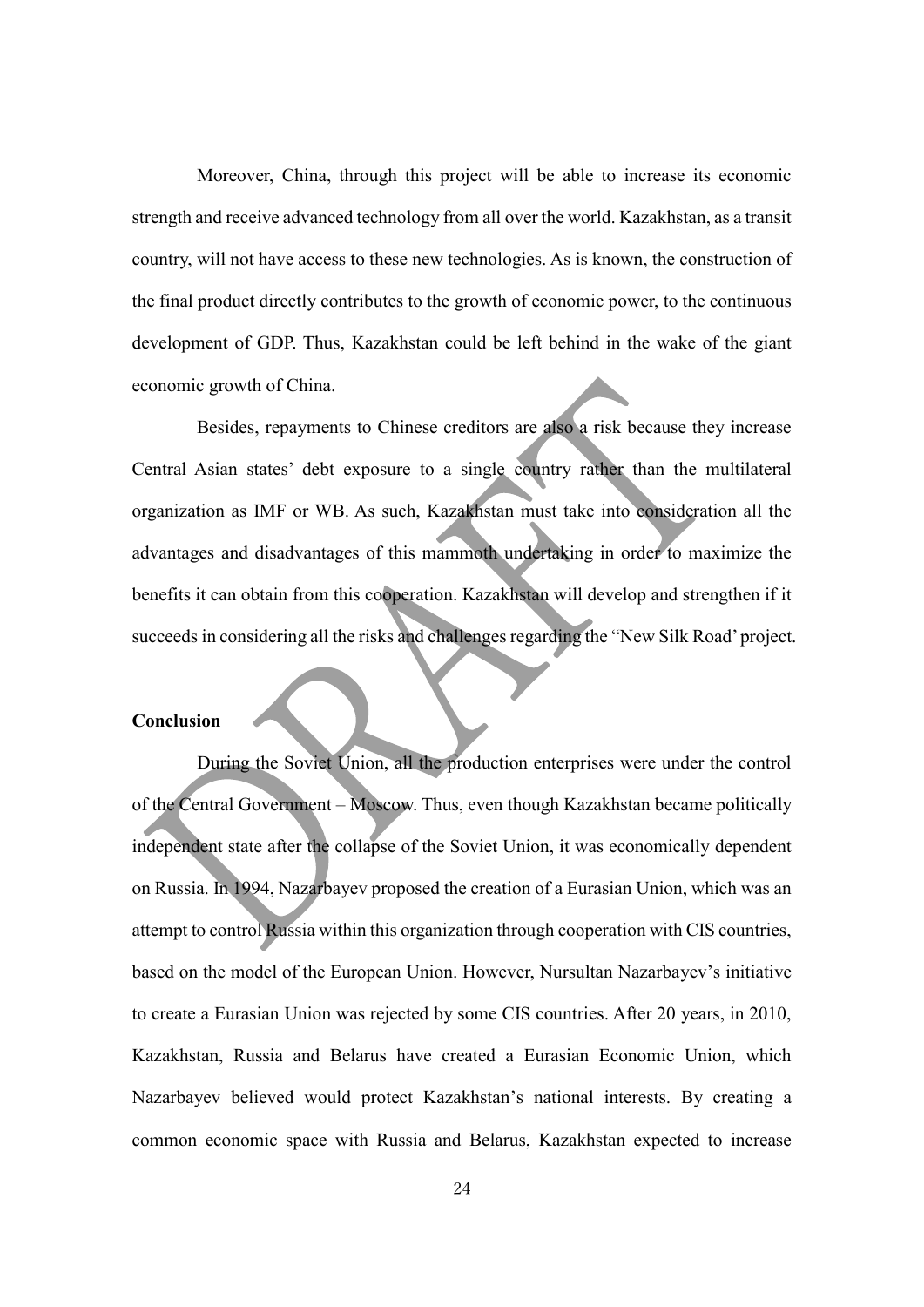Moreover, China, through this project will be able to increase its economic strength and receive advanced technology from all over the world. Kazakhstan, as a transit country, will not have access to these new technologies. As is known, the construction of the final product directly contributes to the growth of economic power, to the continuous development of GDP. Thus, Kazakhstan could be left behind in the wake of the giant economic growth of China.

Besides, repayments to Chinese creditors are also a risk because they increase Central Asian states' debt exposure to a single country rather than the multilateral organization as IMF or WB. As such, Kazakhstan must take into consideration all the advantages and disadvantages of this mammoth undertaking in order to maximize the benefits it can obtain from this cooperation. Kazakhstan will develop and strengthen if it succeeds in considering all the risks and challenges regarding the "New Silk Road' project.

#### **Conclusion**

During the Soviet Union, all the production enterprises were under the control of the Central Government – Moscow. Thus, even though Kazakhstan became politically independent state after the collapse of the Soviet Union, it was economically dependent on Russia. In 1994, Nazarbayev proposed the creation of a Eurasian Union, which was an attempt to control Russia within this organization through cooperation with CIS countries, based on the model of the European Union. However, Nursultan Nazarbayev's initiative to create a Eurasian Union was rejected by some CIS countries. After 20 years, in 2010, Kazakhstan, Russia and Belarus have created a Eurasian Economic Union, which Nazarbayev believed would protect Kazakhstan's national interests. By creating a common economic space with Russia and Belarus, Kazakhstan expected to increase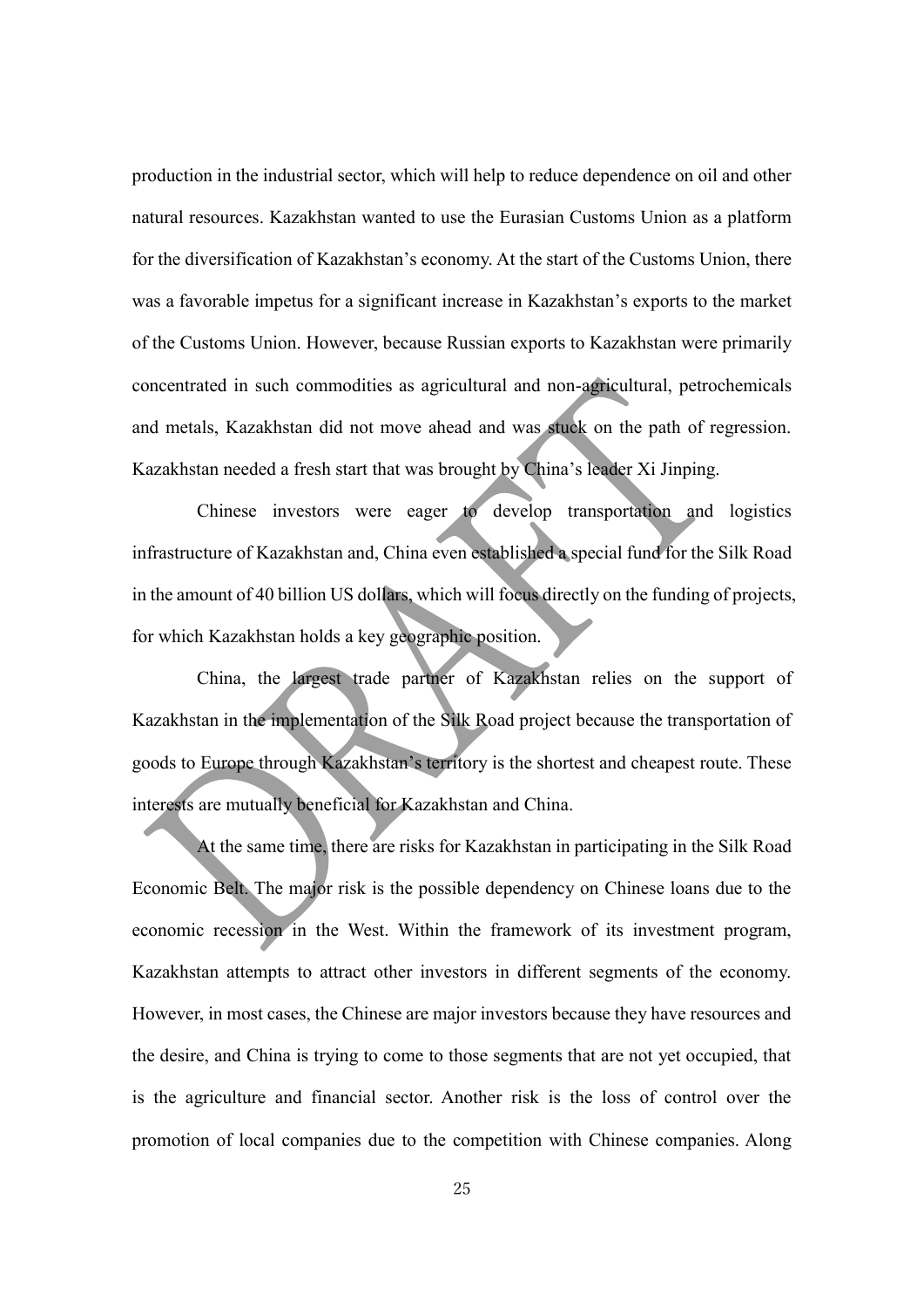production in the industrial sector, which will help to reduce dependence on oil and other natural resources. Kazakhstan wanted to use the Eurasian Customs Union as a platform for the diversification of Kazakhstan's economy. At the start of the Customs Union, there was a favorable impetus for a significant increase in Kazakhstan's exports to the market of the Customs Union. However, because Russian exports to Kazakhstan were primarily concentrated in such commodities as agricultural and non-agricultural, petrochemicals and metals, Kazakhstan did not move ahead and was stuck on the path of regression. Kazakhstan needed a fresh start that was brought by China's leader Xi Jinping.

Chinese investors were eager to develop transportation and logistics infrastructure of Kazakhstan and, China even established a special fund for the Silk Road in the amount of 40 billion US dollars, which will focus directly on the funding of projects, for which Kazakhstan holds a key geographic position.

China, the largest trade partner of Kazakhstan relies on the support of Kazakhstan in the implementation of the Silk Road project because the transportation of goods to Europe through Kazakhstan's territory is the shortest and cheapest route. These interests are mutually beneficial for Kazakhstan and China.

At the same time, there are risks for Kazakhstan in participating in the Silk Road Economic Belt. The major risk is the possible dependency on Chinese loans due to the economic recession in the West. Within the framework of its investment program, Kazakhstan attempts to attract other investors in different segments of the economy. However, in most cases, the Chinese are major investors because they have resources and the desire, and China is trying to come to those segments that are not yet occupied, that is the agriculture and financial sector. Another risk is the loss of control over the promotion of local companies due to the competition with Chinese companies. Along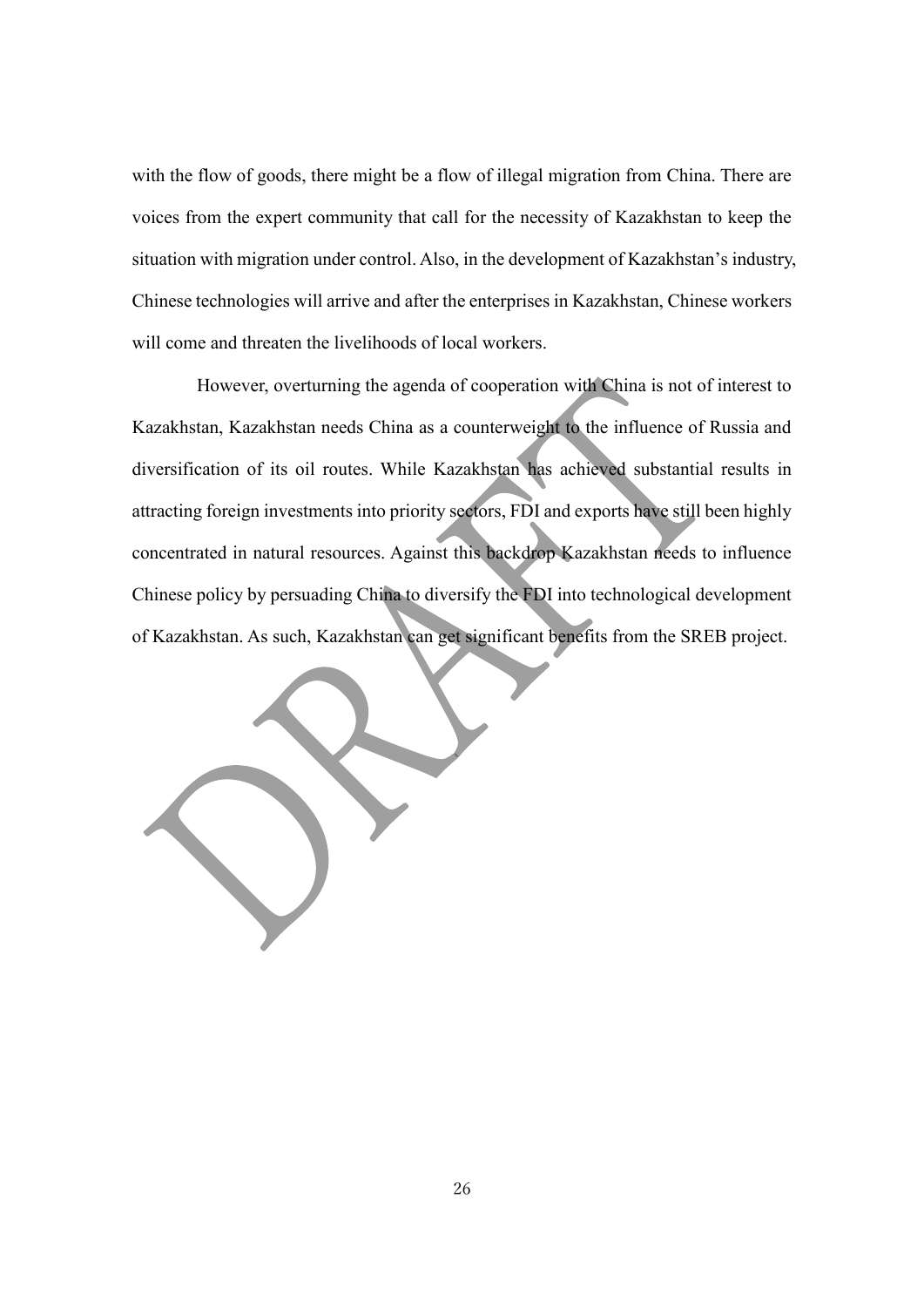with the flow of goods, there might be a flow of illegal migration from China. There are voices from the expert community that call for the necessity of Kazakhstan to keep the situation with migration under control. Also, in the development of Kazakhstan's industry, Chinese technologies will arrive and after the enterprises in Kazakhstan, Chinese workers will come and threaten the livelihoods of local workers.

However, overturning the agenda of cooperation with China is not of interest to Kazakhstan, Kazakhstan needs China as a counterweight to the influence of Russia and diversification of its oil routes. While Kazakhstan has achieved substantial results in attracting foreign investments into priority sectors, FDI and exports have still been highly concentrated in natural resources. Against this backdrop Kazakhstan needs to influence Chinese policy by persuading China to diversify the FDI into technological development of Kazakhstan. As such, Kazakhstan can get significant benefits from the SREB project.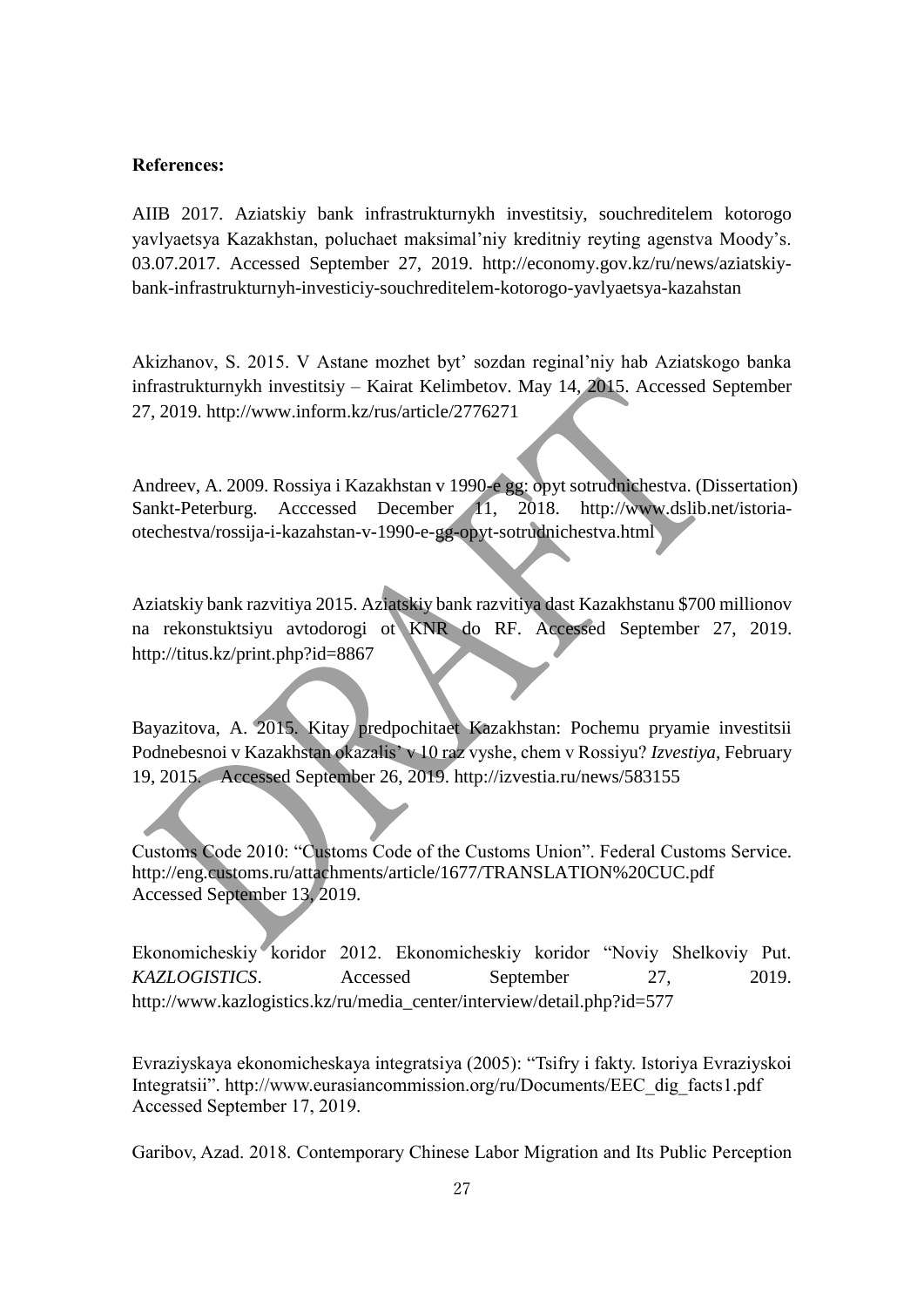#### **References:**

AIIB 2017. Aziatskiy bank infrastrukturnykh investitsiy, souchreditelem kotorogo yavlyaetsya Kazakhstan, poluchaet maksimal'niy kreditniy reyting agenstva Moody's. 03.07.2017. Accessed September 27, 2019. [http://economy.gov.kz/ru/news/aziatskiy](http://economy.gov.kz/ru/news/aziatskiy-bank-infrastrukturnyh-investiciy-souchreditelem-kotorogo-yavlyaetsya-kazahstan)[bank-infrastrukturnyh-investiciy-souchreditelem-kotorogo-yavlyaetsya-kazahstan](http://economy.gov.kz/ru/news/aziatskiy-bank-infrastrukturnyh-investiciy-souchreditelem-kotorogo-yavlyaetsya-kazahstan)

Akizhanov, S. 2015. V Astane mozhet byt' sozdan reginal'niy hab Aziatskogo banka infrastrukturnykh investitsiy – Kairat Kelimbetov. May 14, 2015. Accessed September 27, 2019. http://www.inform.kz/rus/article/2776271

Andreev, A. 2009. Rossiya i Kazakhstan v 1990-e gg: opyt sotrudnichestva. (Dissertation) Sankt-Peterburg. Acccessed December 11, 2018. [http://www.dslib.net/istoria](http://www.dslib.net/istoria-otechestva/rossija-i-kazahstan-v-1990-e-gg-opyt-sotrudnichestva.html)[otechestva/rossija-i-kazahstan-v-1990-e-gg-opyt-sotrudnichestva.html](http://www.dslib.net/istoria-otechestva/rossija-i-kazahstan-v-1990-e-gg-opyt-sotrudnichestva.html)

Aziatskiy bank razvitiya 2015. Aziatskiy bank razvitiya dast Kazakhstanu \$700 millionov na rekonstuktsiyu avtodorogi ot KNR do RF. Accessed September 27, 2019. http://titus.kz/print.php?id=8867

Bayazitova, A. 2015. Kitay predpochitaet Kazakhstan: Pochemu pryamie investitsii Podnebesnoi v Kazakhstan okazalis' v 10 raz vyshe, chem v Rossiyu? *Izvestiya*, February 19, 2015. Accessed September 26, 2019.<http://izvestia.ru/news/583155>

Customs Code 2010: "Customs Code of the Customs Union". Federal Customs Service. http://eng.customs.ru/attachments/article/1677/TRANSLATION%20CUC.pdf Accessed September 13, 2019.

Ekonomicheskiy koridor 2012. Ekonomicheskiy koridor "Noviy Shelkoviy Put. *KAZLOGISTICS*. Accessed September 27, 2019. [http://www.kazlogistics.kz/ru/media\\_center/interview/detail.php?id=577](http://www.kazlogistics.kz/ru/media_center/interview/detail.php?id=577)

Evraziyskaya ekonomicheskaya integratsiya (2005): "Tsifry i fakty. Istoriya Evraziyskoi Integratsii". [http://www.eurasiancommission.org/ru/Documents/EEC\\_dig\\_facts1.pdf](http://www.eurasiancommission.org/ru/Documents/EEC_dig_facts1.pdf) Accessed September 17, 2019.

Garibov, Azad. 2018. Contemporary Chinese Labor Migration and Its Public Perception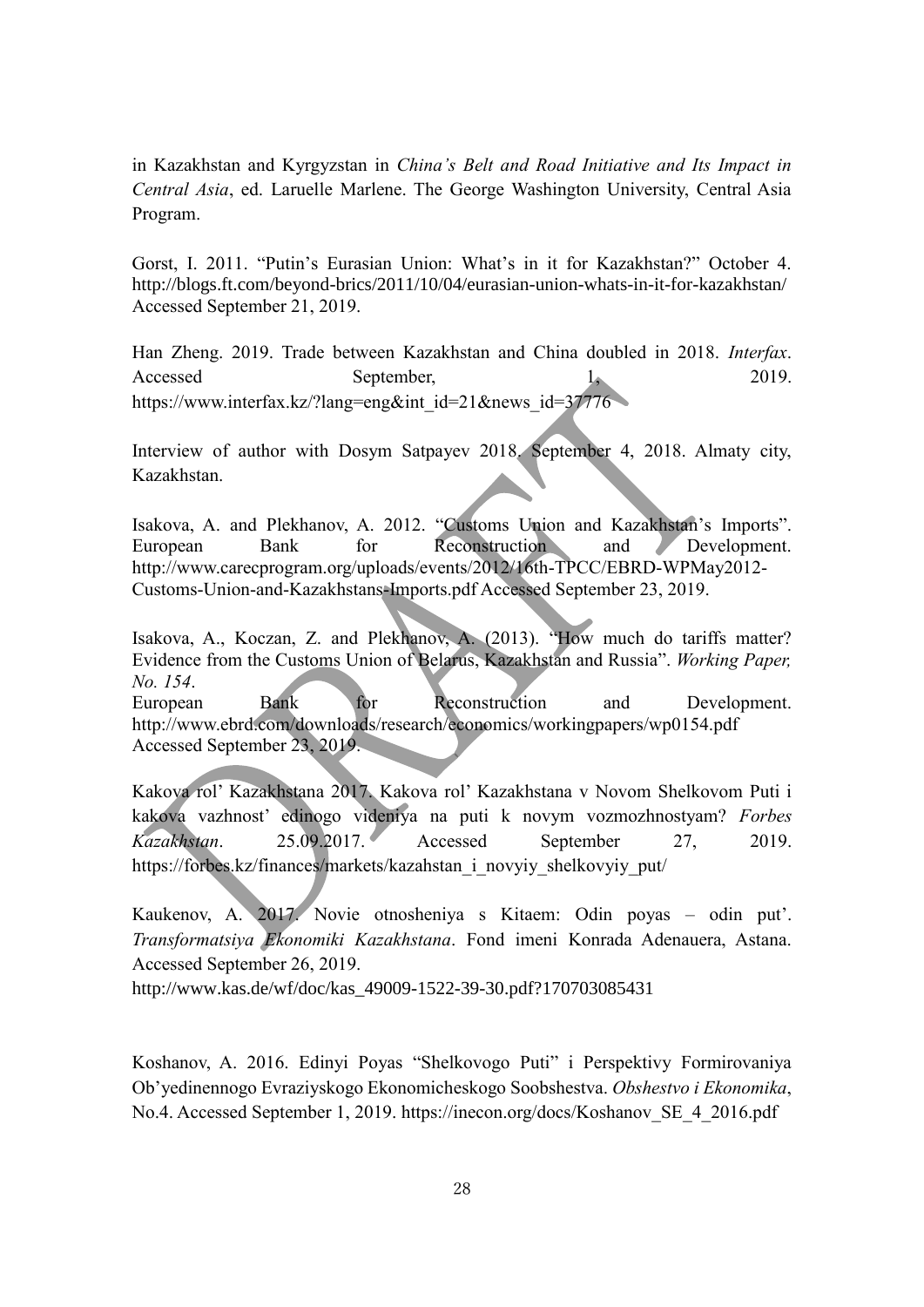in Kazakhstan and Kyrgyzstan in *China's Belt and Road Initiative and Its Impact in Central Asia*, ed. Laruelle Marlene. The George Washington University, Central Asia Program.

Gorst, I. 2011. "Putin's Eurasian Union: What's in it for Kazakhstan?" October 4. http://blogs.ft.com/beyond-brics/2011/10/04/eurasian-union-whats-in-it-for-kazakhstan/ Accessed September 21, 2019.

Han Zheng. 2019. Trade between Kazakhstan and China doubled in 2018. *Interfax*. Accessed September, 1, 2019. [https://www.interfax.kz/?lang=eng&int\\_id=21&news\\_id=37776](https://www.interfax.kz/?lang=eng&int_id=21&news_id=37776)

Interview of author with Dosym Satpayev 2018. September 4, 2018. Almaty city, Kazakhstan.

Isakova, A. and Plekhanov, A. 2012. "Customs Union and Kazakhstan's Imports". European Bank for Reconstruction and Development. [http://www.carecprogram.org/uploads/events/2012/16th-TPCC/EBRD-WPMay2012-](http://www.carecprogram.org/uploads/events/2012/16th-TPCC/EBRD-WPMay2012-Customs-Union-and-Kazakhstans-Imports.pdf%20Accessed%20September%2023) [Customs-Union-and-Kazakhstans-Imports.pdf Accessed September](http://www.carecprogram.org/uploads/events/2012/16th-TPCC/EBRD-WPMay2012-Customs-Union-and-Kazakhstans-Imports.pdf%20Accessed%20September%2023) 23, 2019.

Isakova, A., Koczan, Z. and Plekhanov, A. (2013). "How much do tariffs matter? Evidence from the Customs Union of Belarus, Kazakhstan and Russia". *Working Paper, No. 154*.

European Bank for Reconstruction and Development. <http://www.ebrd.com/downloads/research/economics/workingpapers/wp0154.pdf> Accessed September 23, 2019.

Kakova rol' Kazakhstana 2017. Kakova rol' Kazakhstana v Novom Shelkovom Puti i kakova vazhnost' edinogo videniya na puti k novym vozmozhnostyam? *Forbes Kazakhstan*. 25.09.2017. Accessed September 27, 2019. [https://forbes.kz/finances/markets/kazahstan\\_i\\_novyiy\\_shelkovyiy\\_put/](https://forbes.kz/finances/markets/kazahstan_i_novyiy_shelkovyiy_put/)

Kaukenov, A. 2017. Novie otnosheniya s Kitaem: Odin poyas – odin put'. *Transformatsiya Ekonomiki Kazakhstana*. Fond imeni Konrada Adenauera, Astana. Accessed September 26, 2019.

[http://www.kas.de/wf/doc/kas\\_49009-1522-39-30.pdf?170703085431](http://www.kas.de/wf/doc/kas_49009-1522-39-30.pdf?170703085431)

Koshanov, A. 2016. Edinyi Poyas "Shelkovogo Puti" i Perspektivy Formirovaniya Ob'yedinennogo Evraziyskogo Ekonomicheskogo Soobshestva. *Obshestvo i Ekonomika*, No.4. Accessed September 1, 2019. https://inecon.org/docs/Koshanov\_SE\_4\_2016.pdf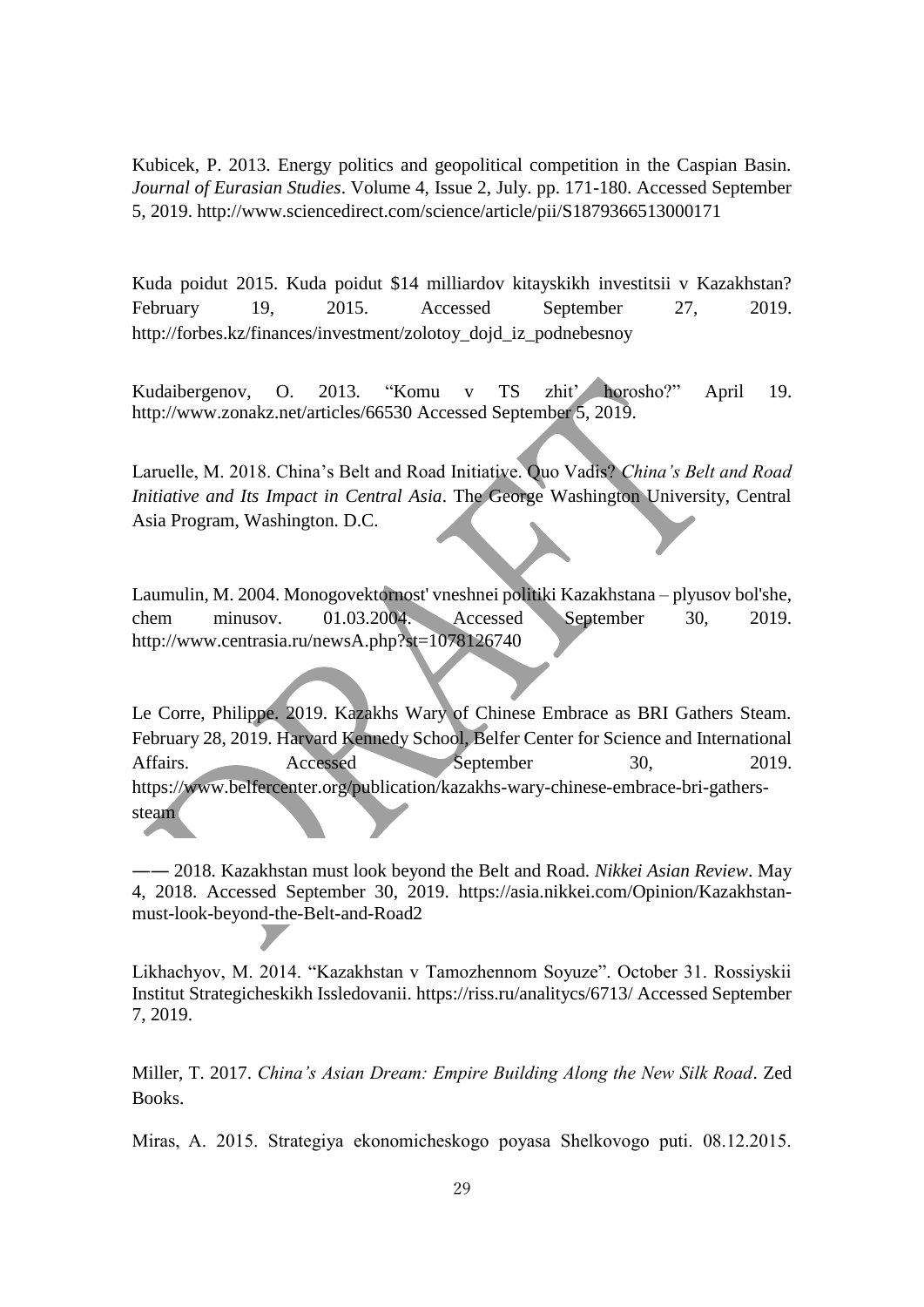Kubicek, P. 2013. Energy politics and geopolitical competition in the Caspian Basin. *Journal of Eurasian Studies*. Volume 4, Issue 2, July. pp. 171-180. Accessed September 5, 2019.<http://www.sciencedirect.com/science/article/pii/S1879366513000171>

Kuda poidut 2015. Kuda poidut \$14 milliardov kitayskikh investitsii v Kazakhstan? February 19, 2015. Accessed September 27, 2019. [http://forbes.kz/finances/investment/zolotoy\\_dojd\\_iz\\_podnebesnoy](http://forbes.kz/finances/investment/zolotoy_dojd_iz_podnebesnoy)

Kudaibergenov, O. 2013. "Komu v TS zhit' horosho?" April 19. <http://www.zonakz.net/articles/66530> Accessed September 5, 2019.

Laruelle, M. 2018. China's Belt and Road Initiative. Quo Vadis? *China's Belt and Road Initiative and Its Impact in Central Asia*. The George Washington University, Central Asia Program, Washington. D.C.

Laumulin, M. 2004. Monogovektornost' vneshnei politiki Kazakhstana – plyusov bol'she, chem minusov. 01.03.2004. Accessed September 30, 2019. <http://www.centrasia.ru/newsA.php?st=1078126740>

Le Corre, Philippe. 2019. Kazakhs Wary of Chinese Embrace as BRI Gathers Steam. February 28, 2019. Harvard Kennedy School, Belfer Center for Science and International Affairs. Accessed September 30, 2019. [https://www.belfercenter.org/publication/kazakhs-wary-chinese-embrace-bri-gathers](https://www.belfercenter.org/publication/kazakhs-wary-chinese-embrace-bri-gathers-steam)[steam](https://www.belfercenter.org/publication/kazakhs-wary-chinese-embrace-bri-gathers-steam)

―― 2018. Kazakhstan must look beyond the Belt and Road. *Nikkei Asian Review*. May 4, 2018. Accessed September 30, 2019. [https://asia.nikkei.com/Opinion/Kazakhstan](https://asia.nikkei.com/Opinion/Kazakhstan-must-look-beyond-the-Belt-and-Road2)[must-look-beyond-the-Belt-and-Road2](https://asia.nikkei.com/Opinion/Kazakhstan-must-look-beyond-the-Belt-and-Road2)

Likhachyov, M. 2014. "Kazakhstan v Tamozhennom Soyuze". October 31. Rossiyskii Institut Strategicheskikh Issledovanii.<https://riss.ru/analitycs/6713/> Accessed September 7, 2019.

Miller, T. 2017. *China's Asian Dream: Empire Building Along the New Silk Road*. Zed Books.

Miras, A. 2015. Strategiya ekonomicheskogo poyasa Shelkovogo puti. 08.12.2015.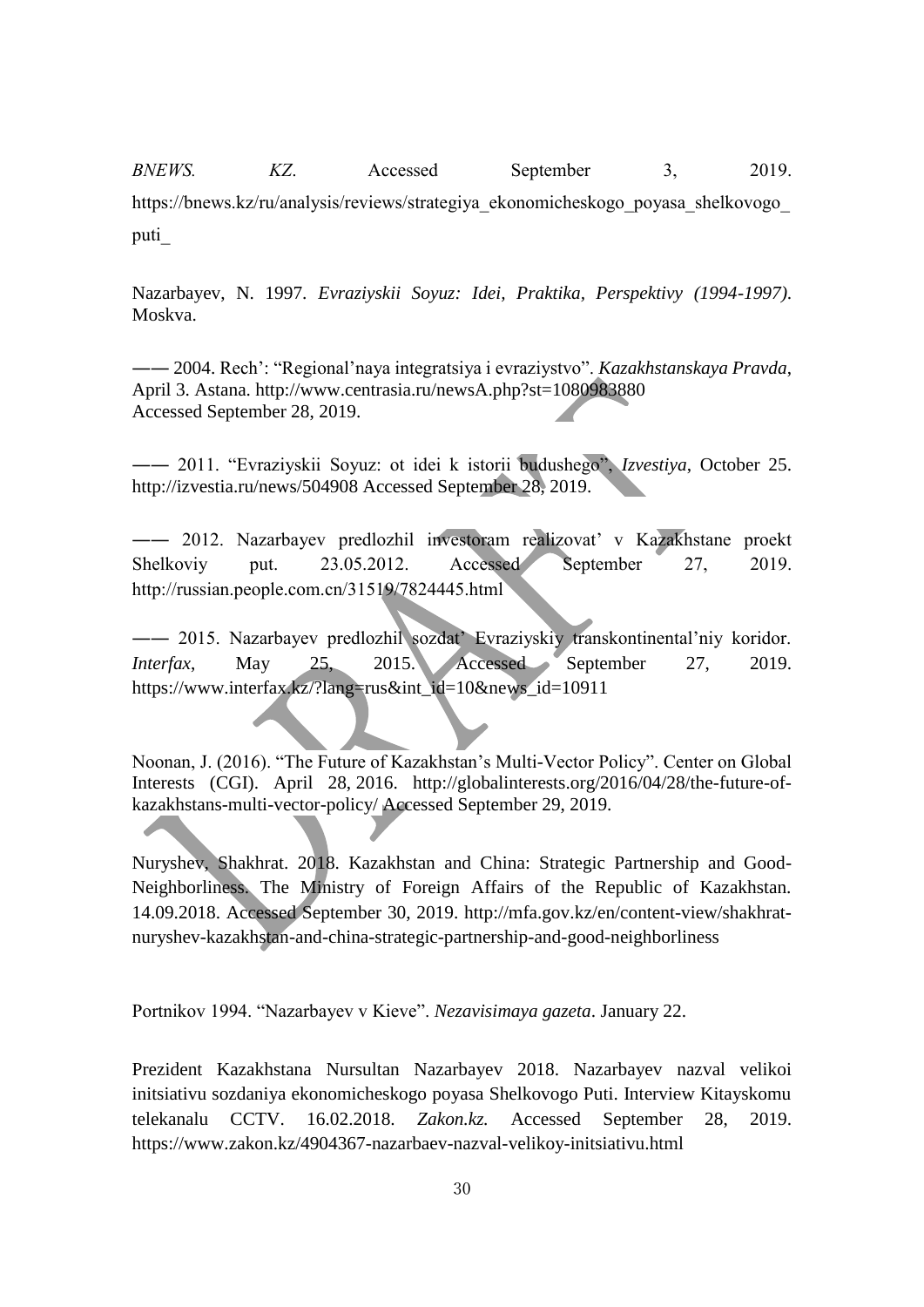*BNEWS. KZ*. Accessed September 3, 2019. https://bnews.kz/ru/analysis/reviews/strategiya\_ekonomicheskogo\_poyasa\_shelkovogo\_ puti\_

Nazarbayev, N. 1997. *Evraziyskii Soyuz: Idei, Praktika, Perspektivy (1994-1997)*. Moskva.

―― 2004. Rech': "Regional'naya integratsiya i evraziystvo". *Kazakhstanskaya Pravda*, April 3. Astana.<http://www.centrasia.ru/newsA.php?st=1080983880> Accessed September 28, 2019.

―― 2011. "Evraziyskii Soyuz: ot idei k istorii budushego", *Izvestiya*, October 25. <http://izvestia.ru/news/504908> Accessed September 28, 2019.

―― 2012. Nazarbayev predlozhil investoram realizovat' v Kazakhstane proekt Shelkoviy put. 23.05.2012. Accessed September 27, 2019. http://russian.people.com.cn/31519/7824445.html

―― 2015. Nazarbayev predlozhil sozdat' Evraziyskiy transkontinental'niy koridor. *Interfax*, May 25, 2015. Accessed September 27, 2019. [https://www.interfax.kz/?lang=rus&int\\_id=10&news\\_id=10911](https://www.interfax.kz/?lang=rus&int_id=10&news_id=10911)

Noonan, J. (2016). "The Future of Kazakhstan's Multi-Vector Policy". Center on Global Interests (CGI). April 28, 2016. [http://globalinterests.org/2016/04/28/the-future-of](http://globalinterests.org/2016/04/28/the-future-of-kazakhstans-multi-vector-policy/)[kazakhstans-multi-vector-policy/](http://globalinterests.org/2016/04/28/the-future-of-kazakhstans-multi-vector-policy/) Accessed September 29, 2019.

Nuryshev, Shakhrat. 2018. Kazakhstan and China: Strategic Partnership and Good-Neighborliness. The Ministry of Foreign Affairs of the Republic of Kazakhstan. 14.09.2018. Accessed September 30, 2019. [http://mfa.gov.kz/en/content-view/shakhrat](http://mfa.gov.kz/en/content-view/shakhrat-nuryshev-kazakhstan-and-china-strategic-partnership-and-good-neighborliness)[nuryshev-kazakhstan-and-china-strategic-partnership-and-good-neighborliness](http://mfa.gov.kz/en/content-view/shakhrat-nuryshev-kazakhstan-and-china-strategic-partnership-and-good-neighborliness)

Portnikov 1994. "Nazarbayev v Kieve". *Nezavisimaya gazeta*. January 22.

Prezident Kazakhstana Nursultan Nazarbayev 2018. Nazarbayev nazval velikoi initsiativu sozdaniya ekonomicheskogo poyasa Shelkovogo Puti. Interview Kitayskomu telekanalu CCTV. 16.02.2018. *Zakon.kz.* Accessed September 28, 2019. https://www.zakon.kz/4904367-nazarbaev-nazval-velikoy-initsiativu.html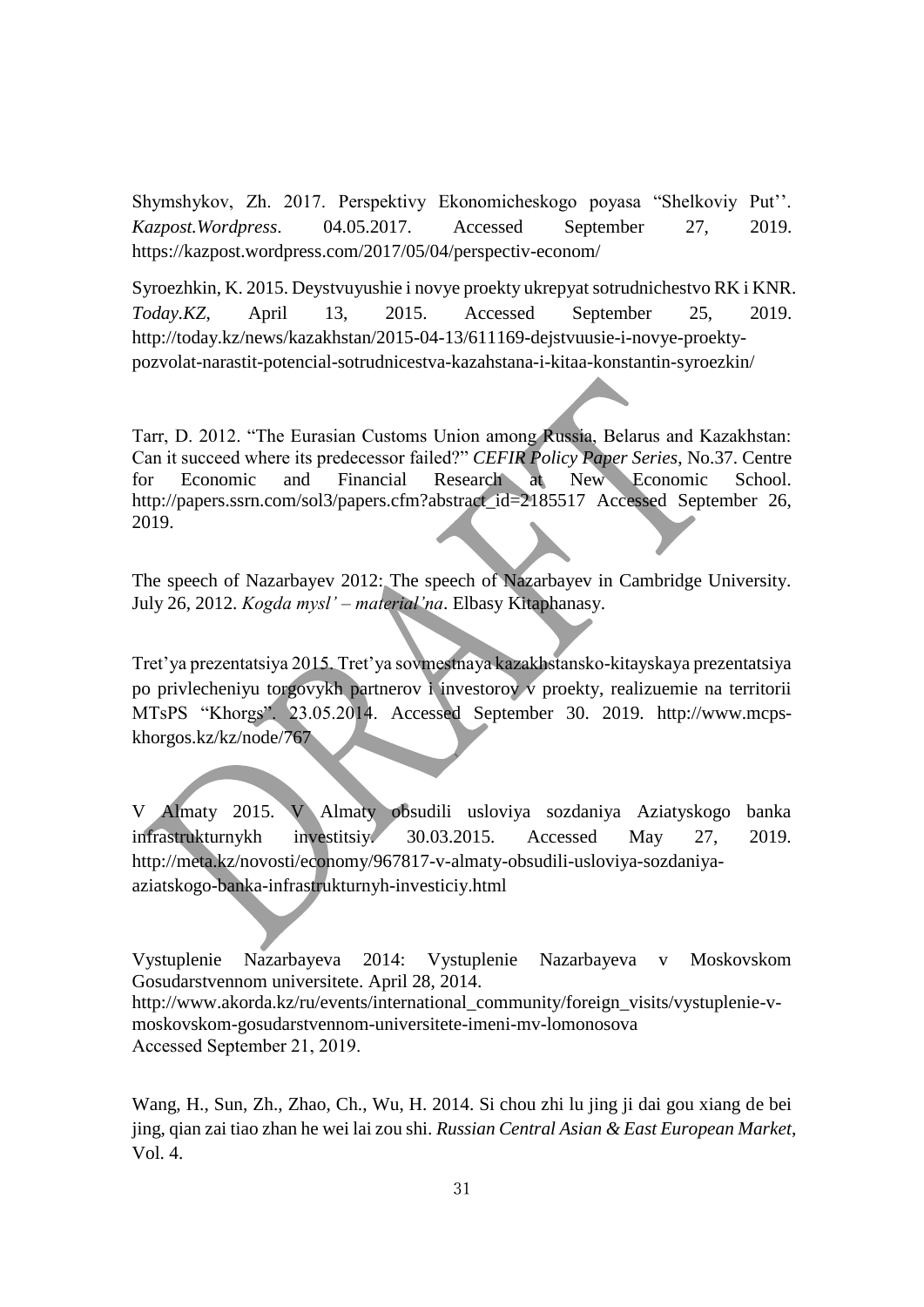Shymshykov, Zh. 2017. Perspektivy Ekonomicheskogo poyasa "Shelkoviy Put''. *Kazpost.Wordpress*. 04.05.2017. Accessed September 27, 2019. <https://kazpost.wordpress.com/2017/05/04/perspectiv-econom/>

Syroezhkin, K. 2015. Deystvuyushie i novye proekty ukrepyat sotrudnichestvo RK i KNR. *Today.KZ*, April 13, 2015. Accessed September 25, 2019. http://today.kz/news/kazakhstan/2015-04-13/611169-dejstvuusie-i-novye-proektypozvolat-narastit-potencial-sotrudnicestva-kazahstana-i-kitaa-konstantin-syroezkin/

Tarr, D. 2012. "The Eurasian Customs Union among Russia, Belarus and Kazakhstan: Can it succeed where its predecessor failed?" *CEFIR Policy Paper Series*, No.37. Centre for Economic and Financial Research at New Economic School. http://papers.ssrn.com/sol3/papers.cfm?abstract\_id=2185517 Accessed September 26, 2019.

The speech of Nazarbayev 2012: The speech of Nazarbayev in Cambridge University. July 26, 2012. *Kogda mysl' – material'na*. Elbasy Kitaphanasy.

Tret'ya prezentatsiya 2015. Tret'ya sovmestnaya kazakhstansko-kitayskaya prezentatsiya po privlecheniyu torgovykh partnerov i investorov v proekty, realizuemie na territorii MTsPS "Khorgs". 23.05.2014. Accessed September 30. 2019. [http://www.mcps](http://www.mcps-khorgos.kz/kz/node/767)[khorgos.kz/kz/node/767](http://www.mcps-khorgos.kz/kz/node/767)

V Almaty 2015. V Almaty obsudili usloviya sozdaniya Aziatyskogo banka infrastrukturnykh investitsiy. 30.03.2015. Accessed May 27, 2019. http://meta.kz/novosti/economy/967817-v-almaty-obsudili-usloviya-sozdaniyaaziatskogo-banka-infrastrukturnyh-investiciy.html

Vystuplenie Nazarbayeva 2014: Vystuplenie Nazarbayeva v Moskovskom Gosudarstvennom universitete. April 28, 2014. http://www.akorda.kz/ru/events/international\_community/foreign\_visits/vystuplenie-vmoskovskom-gosudarstvennom-universitete-imeni-mv-lomonosova Accessed September 21, 2019.

Wang, H., Sun, Zh., Zhao, Ch., Wu, H. 2014. Si chou zhi lu jing ji dai gou xiang de bei jing, qian zai tiao zhan he wei lai zou shi. *Russian Central Asian & East European Market*, Vol. 4.